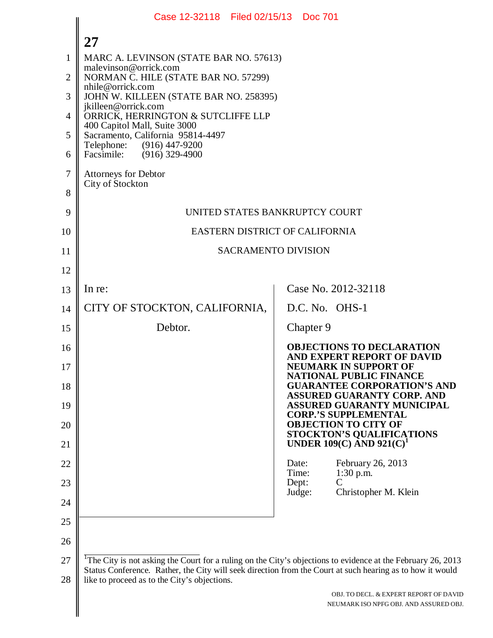|                | Case 12-32118 Filed 02/15/13 Doc 701                                                                                                                                                                                                  |                                                                                                |
|----------------|---------------------------------------------------------------------------------------------------------------------------------------------------------------------------------------------------------------------------------------|------------------------------------------------------------------------------------------------|
|                | 27                                                                                                                                                                                                                                    |                                                                                                |
| 1              | MARC A. LEVINSON (STATE BAR NO. 57613)<br>malevinson@orrick.com                                                                                                                                                                       |                                                                                                |
| $\overline{2}$ | NORMAN C. HILE (STATE BAR NO. 57299)<br>nhile@orrick.com                                                                                                                                                                              |                                                                                                |
| 3              | JOHN W. KILLEEN (STATE BAR NO. 258395)<br>jkilleen@orrick.com                                                                                                                                                                         |                                                                                                |
| $\overline{4}$ | ORRICK, HERRINGTON & SUTCLIFFE LLP<br>400 Capitol Mall, Suite 3000                                                                                                                                                                    |                                                                                                |
| 5              | Sacramento, California 95814-4497<br>Telephone:<br>(916) 447-9200                                                                                                                                                                     |                                                                                                |
| 6              | Facsimile: (916) 329-4900                                                                                                                                                                                                             |                                                                                                |
| 7              | <b>Attorneys for Debtor</b><br>City of Stockton                                                                                                                                                                                       |                                                                                                |
| 8              |                                                                                                                                                                                                                                       |                                                                                                |
| 9              | UNITED STATES BANKRUPTCY COURT                                                                                                                                                                                                        |                                                                                                |
| 10             | EASTERN DISTRICT OF CALIFORNIA                                                                                                                                                                                                        |                                                                                                |
| 11             | <b>SACRAMENTO DIVISION</b>                                                                                                                                                                                                            |                                                                                                |
| 12             |                                                                                                                                                                                                                                       |                                                                                                |
| 13             | In re:                                                                                                                                                                                                                                | Case No. 2012-32118                                                                            |
| 14             | CITY OF STOCKTON, CALIFORNIA,                                                                                                                                                                                                         | D.C. No. OHS-1                                                                                 |
| 15             | Debtor.                                                                                                                                                                                                                               | Chapter 9                                                                                      |
| 16<br>17       |                                                                                                                                                                                                                                       | <b>OBJECTIONS TO DECLARATION</b><br>AND EXPERT REPORT OF DAVID<br><b>NEUMARK IN SUPPORT OF</b> |
| 18             |                                                                                                                                                                                                                                       | NATIONAL PUBLIC FINANCE<br><b>GUARANTEE CORPORATION'S AND</b>                                  |
| 19             |                                                                                                                                                                                                                                       | <b>ASSURED GUARANTY CORP. AND</b><br><b>ASSURED GUARANTY MUNICIPAL</b>                         |
| 20             |                                                                                                                                                                                                                                       | <b>CORP.'S SUPPLEMENTAL</b><br><b>OBJECTION TO CITY OF</b>                                     |
| 21             |                                                                                                                                                                                                                                       | <b>STOCKTON'S QUALIFICATIONS</b><br>UNDER 109(C) AND $921(C)^1$                                |
| 22             |                                                                                                                                                                                                                                       | February 26, 2013<br>Date:<br>Time:<br>$1:30$ p.m.                                             |
| 23             |                                                                                                                                                                                                                                       | Dept:<br>C<br>Christopher M. Klein<br>Judge:                                                   |
| 24             |                                                                                                                                                                                                                                       |                                                                                                |
| 25             |                                                                                                                                                                                                                                       |                                                                                                |
| 26             |                                                                                                                                                                                                                                       |                                                                                                |
| 27             | <sup>1</sup> The City is not asking the Court for a ruling on the City's objections to evidence at the February 26, 2013<br>Status Conference. Rather, the City will seek direction from the Court at such hearing as to how it would |                                                                                                |
| 28             | like to proceed as to the City's objections.                                                                                                                                                                                          | OBJ. TO DECL. & EXPERT REPORT OF DAVID                                                         |
|                |                                                                                                                                                                                                                                       | NEUMARK ISO NPFG OBJ. AND ASSURED OBJ.                                                         |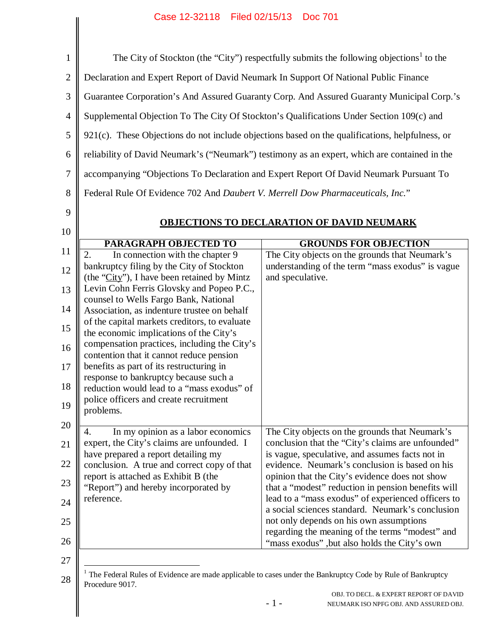|                                                                                      |                                                                                                                                                                                                                                                                                                                                                                                                                                                                                                                                                                                                                 | The City of Stockton (the "City") respectfully submits the following objections <sup>1</sup> to the                                                                                                                                                                                                                                                                                                                        |
|--------------------------------------------------------------------------------------|-----------------------------------------------------------------------------------------------------------------------------------------------------------------------------------------------------------------------------------------------------------------------------------------------------------------------------------------------------------------------------------------------------------------------------------------------------------------------------------------------------------------------------------------------------------------------------------------------------------------|----------------------------------------------------------------------------------------------------------------------------------------------------------------------------------------------------------------------------------------------------------------------------------------------------------------------------------------------------------------------------------------------------------------------------|
| Declaration and Expert Report of David Neumark In Support Of National Public Finance |                                                                                                                                                                                                                                                                                                                                                                                                                                                                                                                                                                                                                 |                                                                                                                                                                                                                                                                                                                                                                                                                            |
|                                                                                      |                                                                                                                                                                                                                                                                                                                                                                                                                                                                                                                                                                                                                 | Guarantee Corporation's And Assured Guaranty Corp. And Assured Guaranty Municipal Corp.'s                                                                                                                                                                                                                                                                                                                                  |
|                                                                                      |                                                                                                                                                                                                                                                                                                                                                                                                                                                                                                                                                                                                                 | Supplemental Objection To The City Of Stockton's Qualifications Under Section 109(c) and                                                                                                                                                                                                                                                                                                                                   |
|                                                                                      |                                                                                                                                                                                                                                                                                                                                                                                                                                                                                                                                                                                                                 | $921(c)$ . These Objections do not include objections based on the qualifications, helpfulness, or                                                                                                                                                                                                                                                                                                                         |
|                                                                                      |                                                                                                                                                                                                                                                                                                                                                                                                                                                                                                                                                                                                                 | reliability of David Neumark's ("Neumark") testimony as an expert, which are contained in the                                                                                                                                                                                                                                                                                                                              |
|                                                                                      |                                                                                                                                                                                                                                                                                                                                                                                                                                                                                                                                                                                                                 |                                                                                                                                                                                                                                                                                                                                                                                                                            |
|                                                                                      |                                                                                                                                                                                                                                                                                                                                                                                                                                                                                                                                                                                                                 | accompanying "Objections To Declaration and Expert Report Of David Neumark Pursuant To                                                                                                                                                                                                                                                                                                                                     |
|                                                                                      | Federal Rule Of Evidence 702 And Daubert V. Merrell Dow Pharmaceuticals, Inc."                                                                                                                                                                                                                                                                                                                                                                                                                                                                                                                                  |                                                                                                                                                                                                                                                                                                                                                                                                                            |
|                                                                                      |                                                                                                                                                                                                                                                                                                                                                                                                                                                                                                                                                                                                                 | OBJECTIONS TO DECLARATION OF DAVID NEUMARK                                                                                                                                                                                                                                                                                                                                                                                 |
|                                                                                      |                                                                                                                                                                                                                                                                                                                                                                                                                                                                                                                                                                                                                 |                                                                                                                                                                                                                                                                                                                                                                                                                            |
|                                                                                      | <b>PARAGRAPH OBJECTED TO</b><br>$\overline{2}$ .<br>In connection with the chapter 9                                                                                                                                                                                                                                                                                                                                                                                                                                                                                                                            | <b>GROUNDS FOR OBJECTION</b><br>The City objects on the grounds that Neumark's                                                                                                                                                                                                                                                                                                                                             |
|                                                                                      | bankruptcy filing by the City of Stockton<br>(the "City"), I have been retained by Mintz<br>Levin Cohn Ferris Glovsky and Popeo P.C.,<br>counsel to Wells Fargo Bank, National<br>Association, as indenture trustee on behalf<br>of the capital markets creditors, to evaluate<br>the economic implications of the City's<br>compensation practices, including the City's<br>contention that it cannot reduce pension<br>benefits as part of its restructuring in<br>response to bankruptcy because such a<br>reduction would lead to a "mass exodus" of<br>police officers and create recruitment<br>problems. | understanding of the term "mass exodus" is vague<br>and speculative.                                                                                                                                                                                                                                                                                                                                                       |
|                                                                                      | In my opinion as a labor economics<br>4.<br>expert, the City's claims are unfounded. I<br>have prepared a report detailing my<br>conclusion. A true and correct copy of that<br>report is attached as Exhibit B (the<br>"Report") and hereby incorporated by<br>reference.                                                                                                                                                                                                                                                                                                                                      | The City objects on the grounds that Neumark's<br>conclusion that the "City's claims are unfounded"<br>is vague, speculative, and assumes facts not in<br>evidence. Neumark's conclusion is based on his<br>opinion that the City's evidence does not show<br>that a "modest" reduction in pension benefits will<br>lead to a "mass exodus" of experienced officers to<br>a social sciences standard. Neumark's conclusion |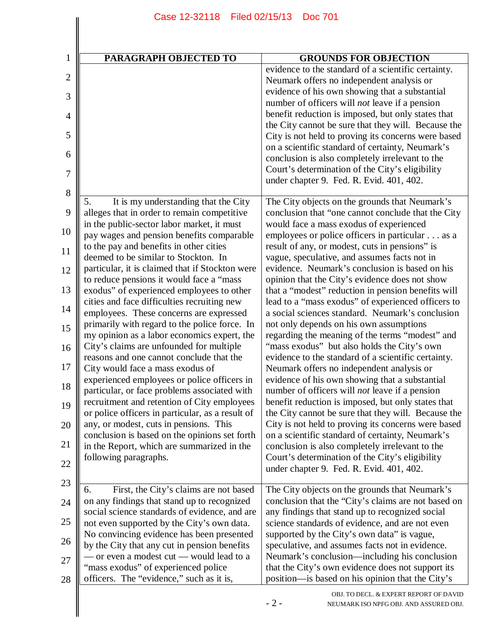| PARAGRAPH OBJECTED TO                                                                                                                                                                                                                                                                                                                                                                                                                                                                                                                                                                                                                                                                                                                                                                     | <b>GROUNDS FOR OBJECTION</b>                                                                                                                                                                                                                                                                                                                                                                                                                                                                                                                                                                                                                                                                                                                                                                                                                                                |
|-------------------------------------------------------------------------------------------------------------------------------------------------------------------------------------------------------------------------------------------------------------------------------------------------------------------------------------------------------------------------------------------------------------------------------------------------------------------------------------------------------------------------------------------------------------------------------------------------------------------------------------------------------------------------------------------------------------------------------------------------------------------------------------------|-----------------------------------------------------------------------------------------------------------------------------------------------------------------------------------------------------------------------------------------------------------------------------------------------------------------------------------------------------------------------------------------------------------------------------------------------------------------------------------------------------------------------------------------------------------------------------------------------------------------------------------------------------------------------------------------------------------------------------------------------------------------------------------------------------------------------------------------------------------------------------|
|                                                                                                                                                                                                                                                                                                                                                                                                                                                                                                                                                                                                                                                                                                                                                                                           | evidence to the standard of a scientific certainty.<br>Neumark offers no independent analysis or<br>evidence of his own showing that a substantial<br>number of officers will <i>not</i> leave if a pension<br>benefit reduction is imposed, but only states that<br>the City cannot be sure that they will. Because the<br>City is not held to proving its concerns were based                                                                                                                                                                                                                                                                                                                                                                                                                                                                                             |
|                                                                                                                                                                                                                                                                                                                                                                                                                                                                                                                                                                                                                                                                                                                                                                                           | on a scientific standard of certainty, Neumark's<br>conclusion is also completely irrelevant to the<br>Court's determination of the City's eligibility<br>under chapter 9. Fed. R. Evid. 401, 402.                                                                                                                                                                                                                                                                                                                                                                                                                                                                                                                                                                                                                                                                          |
| It is my understanding that the City<br>5.<br>alleges that in order to remain competitive<br>in the public-sector labor market, it must<br>pay wages and pension benefits comparable<br>to the pay and benefits in other cities<br>deemed to be similar to Stockton. In<br>particular, it is claimed that if Stockton were<br>to reduce pensions it would face a "mass"<br>exodus" of experienced employees to other<br>cities and face difficulties recruiting new<br>employees. These concerns are expressed<br>primarily with regard to the police force. In<br>my opinion as a labor economics expert, the<br>City's claims are unfounded for multiple<br>reasons and one cannot conclude that the<br>City would face a mass exodus of<br>experienced employees or police officers in | The City objects on the grounds that Neumark's<br>conclusion that "one cannot conclude that the City<br>would face a mass exodus of experienced<br>employees or police officers in particular as a<br>result of any, or modest, cuts in pensions" is<br>vague, speculative, and assumes facts not in<br>evidence. Neumark's conclusion is based on his<br>opinion that the City's evidence does not show<br>that a "modest" reduction in pension benefits will<br>lead to a "mass exodus" of experienced officers to<br>a social sciences standard. Neumark's conclusion<br>not only depends on his own assumptions<br>regarding the meaning of the terms "modest" and<br>"mass exodus" but also holds the City's own<br>evidence to the standard of a scientific certainty.<br>Neumark offers no independent analysis or<br>evidence of his own showing that a substantial |
| particular, or face problems associated with<br>recruitment and retention of City employees<br>or police officers in particular, as a result of<br>any, or modest, cuts in pensions. This<br>conclusion is based on the opinions set forth<br>in the Report, which are summarized in the<br>following paragraphs.                                                                                                                                                                                                                                                                                                                                                                                                                                                                         | number of officers will <i>not</i> leave if a pension<br>benefit reduction is imposed, but only states that<br>the City cannot be sure that they will. Because the<br>City is not held to proving its concerns were based<br>on a scientific standard of certainty, Neumark's<br>conclusion is also completely irrelevant to the<br>Court's determination of the City's eligibility<br>under chapter 9. Fed. R. Evid. 401, 402.                                                                                                                                                                                                                                                                                                                                                                                                                                             |
| First, the City's claims are not based<br>6.<br>on any findings that stand up to recognized<br>social science standards of evidence, and are<br>not even supported by the City's own data.<br>No convincing evidence has been presented<br>by the City that any cut in pension benefits<br>— or even a modest cut — would lead to a<br>'mass exodus" of experienced police<br>officers. The "evidence," such as it is,                                                                                                                                                                                                                                                                                                                                                                    | The City objects on the grounds that Neumark's<br>conclusion that the "City's claims are not based on<br>any findings that stand up to recognized social<br>science standards of evidence, and are not even<br>supported by the City's own data" is vague,<br>speculative, and assumes facts not in evidence.<br>Neumark's conclusion—including his conclusion<br>that the City's own evidence does not support its<br>position—is based on his opinion that the City's                                                                                                                                                                                                                                                                                                                                                                                                     |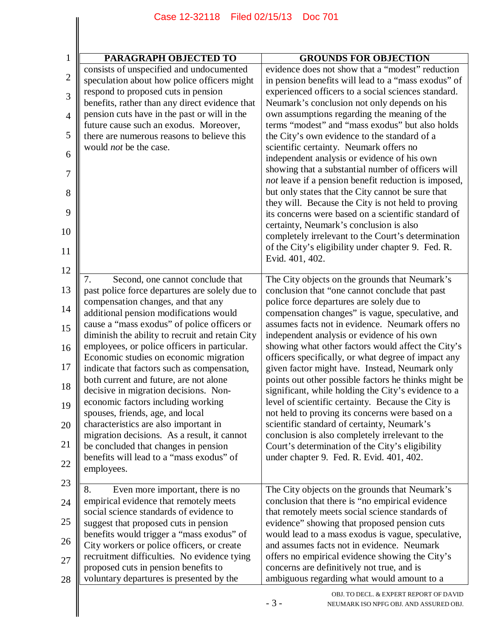| <b>PARAGRAPH OBJECTED TO</b>                                                                    | <b>GROUNDS FOR OBJECTION</b>                                                                                     |
|-------------------------------------------------------------------------------------------------|------------------------------------------------------------------------------------------------------------------|
| consists of unspecified and undocumented<br>speculation about how police officers might         | evidence does not show that a "modest" reduction<br>in pension benefits will lead to a "mass exodus" of          |
| respond to proposed cuts in pension                                                             | experienced officers to a social sciences standard.                                                              |
| benefits, rather than any direct evidence that<br>pension cuts have in the past or will in the  | Neumark's conclusion not only depends on his<br>own assumptions regarding the meaning of the                     |
| future cause such an exodus. Moreover,<br>there are numerous reasons to believe this            | terms "modest" and "mass exodus" but also holds<br>the City's own evidence to the standard of a                  |
| would <i>not</i> be the case.                                                                   | scientific certainty. Neumark offers no                                                                          |
|                                                                                                 | independent analysis or evidence of his own<br>showing that a substantial number of officers will                |
|                                                                                                 | <i>not</i> leave if a pension benefit reduction is imposed,<br>but only states that the City cannot be sure that |
|                                                                                                 | they will. Because the City is not held to proving                                                               |
|                                                                                                 | its concerns were based on a scientific standard of<br>certainty, Neumark's conclusion is also                   |
|                                                                                                 | completely irrelevant to the Court's determination<br>of the City's eligibility under chapter 9. Fed. R.         |
|                                                                                                 | Evid. 401, 402.                                                                                                  |
| 7.<br>Second, one cannot conclude that                                                          | The City objects on the grounds that Neumark's                                                                   |
| past police force departures are solely due to<br>compensation changes, and that any            | conclusion that "one cannot conclude that past<br>police force departures are solely due to                      |
| additional pension modifications would                                                          | compensation changes" is vague, speculative, and                                                                 |
| cause a "mass exodus" of police officers or                                                     | assumes facts not in evidence. Neumark offers no                                                                 |
| diminish the ability to recruit and retain City<br>employees, or police officers in particular. | independent analysis or evidence of his own<br>showing what other factors would affect the City's                |
| Economic studies on economic migration                                                          | officers specifically, or what degree of impact any                                                              |
| indicate that factors such as compensation,                                                     | given factor might have. Instead, Neumark only                                                                   |
| both current and future, are not alone<br>decisive in migration decisions. Non-                 | points out other possible factors he thinks might be<br>significant, while holding the City's evidence to a      |
| economic factors including working                                                              | level of scientific certainty. Because the City is                                                               |
| spouses, friends, age, and local                                                                | not held to proving its concerns were based on a                                                                 |
| characteristics are also important in                                                           | scientific standard of certainty, Neumark's                                                                      |
| migration decisions. As a result, it cannot                                                     | conclusion is also completely irrelevant to the                                                                  |
| be concluded that changes in pension<br>benefits will lead to a "mass exodus" of                | Court's determination of the City's eligibility<br>under chapter 9. Fed. R. Evid. 401, 402.                      |
| employees.                                                                                      |                                                                                                                  |
| Even more important, there is no<br>8.                                                          | The City objects on the grounds that Neumark's                                                                   |
| empirical evidence that remotely meets                                                          | conclusion that there is "no empirical evidence                                                                  |
| social science standards of evidence to                                                         | that remotely meets social science standards of                                                                  |
| suggest that proposed cuts in pension<br>benefits would trigger a "mass exodus" of              | evidence" showing that proposed pension cuts<br>would lead to a mass exodus is vague, speculative,               |
| City workers or police officers, or create                                                      | and assumes facts not in evidence. Neumark                                                                       |
| recruitment difficulties. No evidence tying                                                     | offers no empirical evidence showing the City's                                                                  |
| proposed cuts in pension benefits to                                                            | concerns are definitively not true, and is                                                                       |
| voluntary departures is presented by the                                                        | ambiguous regarding what would amount to a                                                                       |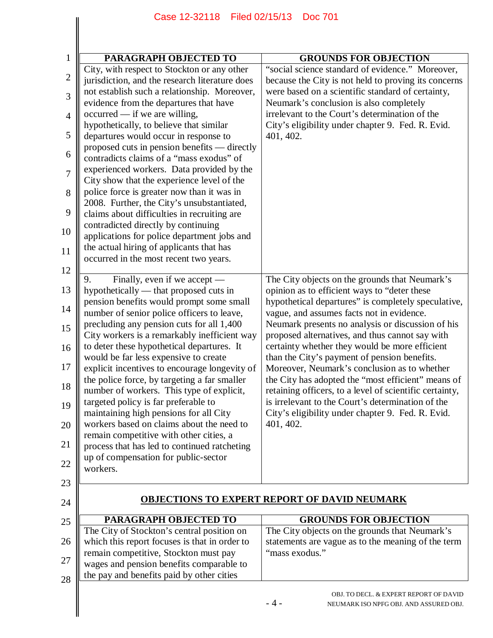| PARAGRAPH OBJECTED TO                                                                                                                         | <b>GROUNDS FOR OBJECTION</b>                                                                                                                                      |
|-----------------------------------------------------------------------------------------------------------------------------------------------|-------------------------------------------------------------------------------------------------------------------------------------------------------------------|
| City, with respect to Stockton or any other<br>jurisdiction, and the research literature does<br>not establish such a relationship. Moreover, | "social science standard of evidence." Moreover,<br>because the City is not held to proving its concerns<br>were based on a scientific standard of certainty,     |
| evidence from the departures that have<br>$occurred - if we are willing,$                                                                     | Neumark's conclusion is also completely<br>irrelevant to the Court's determination of the                                                                         |
| hypothetically, to believe that similar<br>departures would occur in response to                                                              | City's eligibility under chapter 9. Fed. R. Evid.<br>401, 402.                                                                                                    |
| proposed cuts in pension benefits — directly<br>contradicts claims of a "mass exodus" of                                                      |                                                                                                                                                                   |
| experienced workers. Data provided by the<br>City show that the experience level of the                                                       |                                                                                                                                                                   |
| police force is greater now than it was in<br>2008. Further, the City's unsubstantiated,                                                      |                                                                                                                                                                   |
| claims about difficulties in recruiting are<br>contradicted directly by continuing                                                            |                                                                                                                                                                   |
| applications for police department jobs and<br>the actual hiring of applicants that has<br>occurred in the most recent two years.             |                                                                                                                                                                   |
|                                                                                                                                               |                                                                                                                                                                   |
| Finally, even if we accept —<br>9.<br>hypothetically — that proposed cuts in                                                                  | The City objects on the grounds that Neumark's<br>opinion as to efficient ways to "deter these                                                                    |
| pension benefits would prompt some small<br>number of senior police officers to leave,                                                        | hypothetical departures" is completely speculative,<br>vague, and assumes facts not in evidence.                                                                  |
| precluding any pension cuts for all 1,400<br>City workers is a remarkably inefficient way                                                     | Neumark presents no analysis or discussion of his<br>proposed alternatives, and thus cannot say with                                                              |
| to deter these hypothetical departures. It<br>would be far less expensive to create                                                           | certainty whether they would be more efficient<br>than the City's payment of pension benefits.                                                                    |
| explicit incentives to encourage longevity of<br>the police force, by targeting a far smaller                                                 | Moreover, Neumark's conclusion as to whether<br>the City has adopted the "most efficient" means of                                                                |
| number of workers. This type of explicit,<br>targeted policy is far preferable to<br>maintaining high pensions for all City                   | retaining officers, to a level of scientific certainty,<br>is irrelevant to the Court's determination of the<br>City's eligibility under chapter 9. Fed. R. Evid. |
| workers based on claims about the need to                                                                                                     | 401, 402.                                                                                                                                                         |
| remain competitive with other cities, a<br>process that has led to continued ratcheting                                                       |                                                                                                                                                                   |
| up of compensation for public-sector<br>workers.                                                                                              |                                                                                                                                                                   |
|                                                                                                                                               |                                                                                                                                                                   |
|                                                                                                                                               | <b>OBJECTIONS TO EXPERT REPORT OF DAVID NEUMARK</b>                                                                                                               |
| PARAGRAPH OBJECTED TO                                                                                                                         | <b>GROUNDS FOR OBJECTION</b>                                                                                                                                      |
| The City of Stockton's central position on<br>which this report focuses is that in order to<br>remain competitive, Stockton must pay          | The City objects on the grounds that Neumark's<br>statements are vague as to the meaning of the term<br>"mass exodus."                                            |
| wages and pension benefits comparable to<br>the pay and benefits paid by other cities                                                         |                                                                                                                                                                   |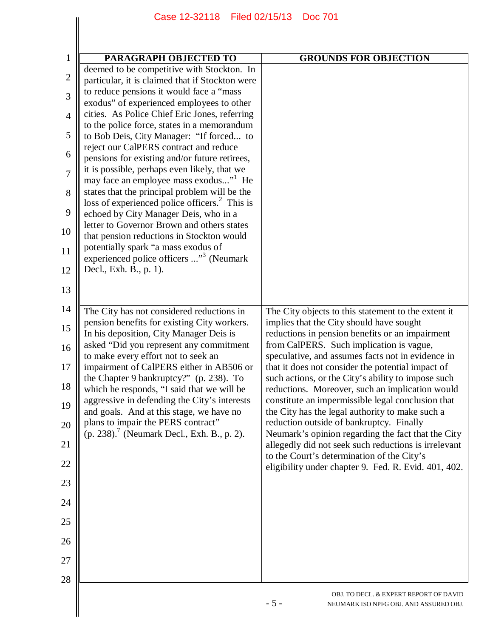|                | Case 12-32118   Filed 02/15/13                                                               | <b>Doc 701</b>                                                                                          |
|----------------|----------------------------------------------------------------------------------------------|---------------------------------------------------------------------------------------------------------|
|                |                                                                                              |                                                                                                         |
| 1              | <b>PARAGRAPH OBJECTED TO</b>                                                                 | <b>GROUNDS FOR OBJECTION</b>                                                                            |
| $\overline{2}$ | deemed to be competitive with Stockton. In                                                   |                                                                                                         |
| 3              | particular, it is claimed that if Stockton were<br>to reduce pensions it would face a "mass" |                                                                                                         |
|                | exodus" of experienced employees to other                                                    |                                                                                                         |
| $\overline{4}$ | cities. As Police Chief Eric Jones, referring<br>to the police force, states in a memorandum |                                                                                                         |
| 5              | to Bob Deis, City Manager: "If forced to                                                     |                                                                                                         |
| 6              | reject our CalPERS contract and reduce<br>pensions for existing and/or future retirees,      |                                                                                                         |
| $\overline{7}$ | it is possible, perhaps even likely, that we                                                 |                                                                                                         |
| 8              | may face an employee mass exodus" He<br>states that the principal problem will be the        |                                                                                                         |
|                | loss of experienced police officers. <sup>2</sup> This is                                    |                                                                                                         |
| 9              | echoed by City Manager Deis, who in a<br>letter to Governor Brown and others states          |                                                                                                         |
| 10             | that pension reductions in Stockton would                                                    |                                                                                                         |
| 11             | potentially spark "a mass exodus of<br>experienced police officers " <sup>3</sup> (Neumark   |                                                                                                         |
| 12             | Decl., Exh. B., p. 1).                                                                       |                                                                                                         |
| 13             |                                                                                              |                                                                                                         |
| 14             | The City has not considered reductions in                                                    | The City objects to this statement to the extent it                                                     |
| 15             | pension benefits for existing City workers.                                                  | implies that the City should have sought                                                                |
| 16             | In his deposition, City Manager Deis is<br>asked "Did you represent any commitment           | reductions in pension benefits or an impairment<br>from CalPERS. Such implication is vague,             |
|                | to make every effort not to seek an                                                          | speculative, and assumes facts not in evidence in                                                       |
| 17             | impairment of CalPERS either in AB506 or<br>the Chapter 9 bankruptcy?" (p. 238). To          | that it does not consider the potential impact of<br>such actions, or the City's ability to impose such |
| 18             | which he responds, "I said that we will be<br>aggressive in defending the City's interests   | reductions. Moreover, such an implication would<br>constitute an impermissible legal conclusion that    |
| 19             | and goals. And at this stage, we have no                                                     | the City has the legal authority to make such a                                                         |
| 20             | plans to impair the PERS contract"<br>(p. 238). <sup>7</sup> (Neumark Decl., Exh. B., p. 2). | reduction outside of bankruptcy. Finally<br>Neumark's opinion regarding the fact that the City          |
| 21             |                                                                                              | allegedly did not seek such reductions is irrelevant<br>to the Court's determination of the City's      |
| 22             |                                                                                              | eligibility under chapter 9. Fed. R. Evid. 401, 402.                                                    |
| 23             |                                                                                              |                                                                                                         |
| 24             |                                                                                              |                                                                                                         |
| 25             |                                                                                              |                                                                                                         |
| 26             |                                                                                              |                                                                                                         |
| 27<br>28       |                                                                                              |                                                                                                         |
|                |                                                                                              | OBJ. TO DECL. & EXPERT REPORT OF DAVID<br>$-5-$<br>NEUMARK ISO NPFG OBJ. AND ASSURED OBJ.               |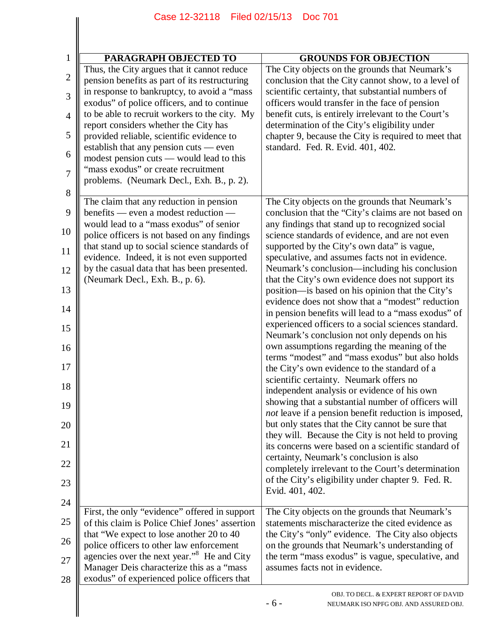|                     | Case 12-32118                                                                                                                                | Filed 02/15/13<br><b>Doc 701</b>                                                                                                                           |
|---------------------|----------------------------------------------------------------------------------------------------------------------------------------------|------------------------------------------------------------------------------------------------------------------------------------------------------------|
|                     |                                                                                                                                              |                                                                                                                                                            |
|                     |                                                                                                                                              |                                                                                                                                                            |
| 1                   | PARAGRAPH OBJECTED TO                                                                                                                        | <b>GROUNDS FOR OBJECTION</b>                                                                                                                               |
| $\overline{2}$      | Thus, the City argues that it cannot reduce<br>pension benefits as part of its restructuring                                                 | The City objects on the grounds that Neumark's<br>conclusion that the City cannot show, to a level of                                                      |
| 3                   | in response to bankruptcy, to avoid a "mass"<br>exodus" of police officers, and to continue<br>to be able to recruit workers to the city. My | scientific certainty, that substantial numbers of<br>officers would transfer in the face of pension<br>benefit cuts, is entirely irrelevant to the Court's |
| $\overline{4}$<br>5 | report considers whether the City has<br>provided reliable, scientific evidence to                                                           | determination of the City's eligibility under<br>chapter 9, because the City is required to meet that                                                      |
| 6                   | establish that any pension cuts — even                                                                                                       | standard. Fed. R. Evid. 401, 402.                                                                                                                          |
| $\overline{7}$      | modest pension cuts — would lead to this<br>"mass exodus" or create recruitment                                                              |                                                                                                                                                            |
| 8                   | problems. (Neumark Decl., Exh. B., p. 2).                                                                                                    |                                                                                                                                                            |
| 9                   | The claim that any reduction in pension<br>benefits — even a modest reduction —                                                              | The City objects on the grounds that Neumark's<br>conclusion that the "City's claims are not based on                                                      |
| 10                  | would lead to a "mass exodus" of senior<br>police officers is not based on any findings                                                      | any findings that stand up to recognized social<br>science standards of evidence, and are not even                                                         |
| 11                  | that stand up to social science standards of<br>evidence. Indeed, it is not even supported                                                   | supported by the City's own data" is vague,<br>speculative, and assumes facts not in evidence.                                                             |
| 12                  | by the casual data that has been presented.<br>(Neumark Decl., Exh. B., p. 6).                                                               | Neumark's conclusion—including his conclusion<br>that the City's own evidence does not support its                                                         |
| 13                  |                                                                                                                                              | position—is based on his opinion that the City's                                                                                                           |
| 14                  |                                                                                                                                              | evidence does not show that a "modest" reduction<br>in pension benefits will lead to a "mass exodus" of                                                    |
| 15                  |                                                                                                                                              | experienced officers to a social sciences standard.<br>Neumark's conclusion not only depends on his                                                        |
| 16<br>17            |                                                                                                                                              | own assumptions regarding the meaning of the<br>terms "modest" and "mass exodus" but also holds<br>the City's own evidence to the standard of a            |
| 18                  |                                                                                                                                              | scientific certainty. Neumark offers no                                                                                                                    |
| 19                  |                                                                                                                                              | independent analysis or evidence of his own<br>showing that a substantial number of officers will                                                          |
| 20                  |                                                                                                                                              | not leave if a pension benefit reduction is imposed,<br>but only states that the City cannot be sure that                                                  |
| 21                  |                                                                                                                                              | they will. Because the City is not held to proving<br>its concerns were based on a scientific standard of                                                  |
| 22                  |                                                                                                                                              | certainty, Neumark's conclusion is also<br>completely irrelevant to the Court's determination                                                              |
| 23                  |                                                                                                                                              | of the City's eligibility under chapter 9. Fed. R.<br>Evid. 401, 402.                                                                                      |
| 24                  | First, the only "evidence" offered in support                                                                                                | The City objects on the grounds that Neumark's                                                                                                             |
| 25                  | of this claim is Police Chief Jones' assertion                                                                                               | statements mischaracterize the cited evidence as                                                                                                           |
| 26                  | that "We expect to lose another 20 to 40<br>police officers to other law enforcement                                                         | the City's "only" evidence. The City also objects<br>on the grounds that Neumark's understanding of                                                        |
| 27                  | agencies over the next year." <sup>8</sup> He and City<br>Manager Deis characterize this as a "mass                                          | the term "mass exodus" is vague, speculative, and<br>assumes facts not in evidence.                                                                        |
| 28                  | exodus" of experienced police officers that                                                                                                  |                                                                                                                                                            |
|                     |                                                                                                                                              | OBJ. TO DECL. & EXPERT REPORT OF DAVID<br>$-6-$<br>NEUMARK ISO NPFG OBJ. AND ASSURED OBJ.                                                                  |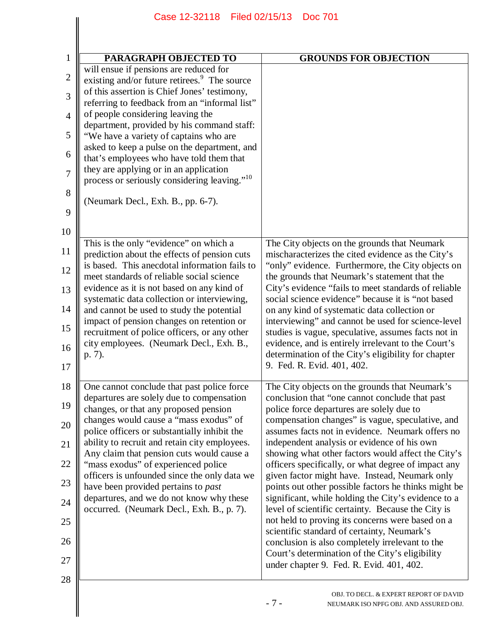| PARAGRAPH OBJECTED TO                                                                      | <b>GROUNDS FOR OBJECTION</b>                                                                              |
|--------------------------------------------------------------------------------------------|-----------------------------------------------------------------------------------------------------------|
| will ensue if pensions are reduced for                                                     |                                                                                                           |
| existing and/or future retirees. <sup>9</sup> The source                                   |                                                                                                           |
| of this assertion is Chief Jones' testimony,                                               |                                                                                                           |
| referring to feedback from an "informal list"<br>of people considering leaving the         |                                                                                                           |
| department, provided by his command staff:                                                 |                                                                                                           |
| "We have a variety of captains who are                                                     |                                                                                                           |
| asked to keep a pulse on the department, and                                               |                                                                                                           |
| that's employees who have told them that                                                   |                                                                                                           |
| they are applying or in an application                                                     |                                                                                                           |
| process or seriously considering leaving." <sup>10</sup>                                   |                                                                                                           |
| (Neumark Decl., Exh. B., pp. 6-7).                                                         |                                                                                                           |
|                                                                                            |                                                                                                           |
|                                                                                            |                                                                                                           |
| This is the only "evidence" on which a                                                     | The City objects on the grounds that Neumark                                                              |
| prediction about the effects of pension cuts                                               | mischaracterizes the cited evidence as the City's                                                         |
| is based. This anecdotal information fails to                                              | "only" evidence. Furthermore, the City objects on                                                         |
| meet standards of reliable social science                                                  | the grounds that Neumark's statement that the                                                             |
| evidence as it is not based on any kind of                                                 | City's evidence "fails to meet standards of reliable                                                      |
| systematic data collection or interviewing,<br>and cannot be used to study the potential   | social science evidence" because it is "not based<br>on any kind of systematic data collection or         |
| impact of pension changes on retention or                                                  | interviewing" and cannot be used for science-level                                                        |
| recruitment of police officers, or any other                                               | studies is vague, speculative, assumes facts not in                                                       |
| city employees. (Neumark Decl., Exh. B.,                                                   | evidence, and is entirely irrelevant to the Court's                                                       |
| p. 7).                                                                                     | determination of the City's eligibility for chapter                                                       |
|                                                                                            | 9. Fed. R. Evid. 401, 402.                                                                                |
| One cannot conclude that past police force                                                 | The City objects on the grounds that Neumark's                                                            |
| departures are solely due to compensation                                                  | conclusion that "one cannot conclude that past                                                            |
| changes, or that any proposed pension                                                      | police force departures are solely due to                                                                 |
| changes would cause a "mass exodus" of                                                     | compensation changes" is vague, speculative, and                                                          |
| police officers or substantially inhibit the                                               | assumes facts not in evidence. Neumark offers no                                                          |
| ability to recruit and retain city employees.<br>Any claim that pension cuts would cause a | independent analysis or evidence of his own<br>showing what other factors would affect the City's         |
| "mass exodus" of experienced police                                                        | officers specifically, or what degree of impact any                                                       |
| officers is unfounded since the only data we                                               | given factor might have. Instead, Neumark only                                                            |
| have been provided pertains to past                                                        | points out other possible factors he thinks might be                                                      |
| departures, and we do not know why these<br>occurred. (Neumark Decl., Exh. B., p. 7).      | significant, while holding the City's evidence to a<br>level of scientific certainty. Because the City is |
|                                                                                            | not held to proving its concerns were based on a                                                          |
|                                                                                            | scientific standard of certainty, Neumark's                                                               |
|                                                                                            | conclusion is also completely irrelevant to the                                                           |
|                                                                                            | Court's determination of the City's eligibility                                                           |
|                                                                                            | under chapter 9. Fed. R. Evid. 401, 402.                                                                  |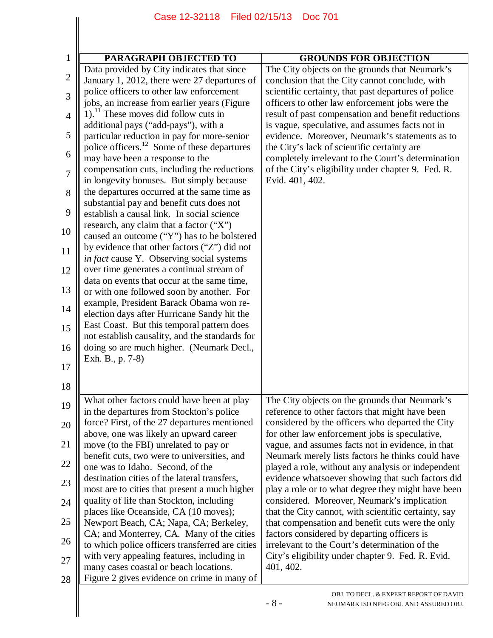|                     | Case 12-32118 Filed 02/15/13                                                                           | <b>Doc 701</b>                                                                                           |
|---------------------|--------------------------------------------------------------------------------------------------------|----------------------------------------------------------------------------------------------------------|
|                     |                                                                                                        |                                                                                                          |
|                     |                                                                                                        |                                                                                                          |
| $\mathbf{1}$        | PARAGRAPH OBJECTED TO                                                                                  | <b>GROUNDS FOR OBJECTION</b>                                                                             |
| $\overline{2}$      | Data provided by City indicates that since<br>January 1, 2012, there were 27 departures of             | The City objects on the grounds that Neumark's<br>conclusion that the City cannot conclude, with         |
| 3                   | police officers to other law enforcement<br>jobs, an increase from earlier years (Figure               | scientific certainty, that past departures of police<br>officers to other law enforcement jobs were the  |
| $\overline{4}$      | $1$ ). <sup>11</sup> These moves did follow cuts in<br>additional pays ("add-pays"), with a            | result of past compensation and benefit reductions<br>is vague, speculative, and assumes facts not in    |
| 5                   | particular reduction in pay for more-senior<br>police officers. <sup>12</sup> Some of these departures | evidence. Moreover, Neumark's statements as to<br>the City's lack of scientific certainty are            |
| 6<br>$\overline{7}$ | may have been a response to the<br>compensation cuts, including the reductions                         | completely irrelevant to the Court's determination<br>of the City's eligibility under chapter 9. Fed. R. |
| 8                   | in longevity bonuses. But simply because<br>the departures occurred at the same time as                | Evid. 401, 402.                                                                                          |
| 9                   | substantial pay and benefit cuts does not<br>establish a causal link. In social science                |                                                                                                          |
| 10                  | research, any claim that a factor ("X")<br>caused an outcome ("Y") has to be bolstered                 |                                                                                                          |
| 11                  | by evidence that other factors ("Z") did not<br>in fact cause Y. Observing social systems              |                                                                                                          |
| 12                  | over time generates a continual stream of                                                              |                                                                                                          |
| 13                  | data on events that occur at the same time,<br>or with one followed soon by another. For               |                                                                                                          |
| 14                  | example, President Barack Obama won re-<br>election days after Hurricane Sandy hit the                 |                                                                                                          |
| 15                  | East Coast. But this temporal pattern does<br>not establish causality, and the standards for           |                                                                                                          |
| 16                  | doing so are much higher. (Neumark Decl.,<br>Exh. B., p. 7-8)                                          |                                                                                                          |
| 17                  |                                                                                                        |                                                                                                          |
| 18                  | What other factors could have been at play                                                             | The City objects on the grounds that Neumark's                                                           |
| 19                  | in the departures from Stockton's police                                                               | reference to other factors that might have been                                                          |
| 20                  | force? First, of the 27 departures mentioned<br>above, one was likely an upward career                 | considered by the officers who departed the City<br>for other law enforcement jobs is speculative,       |
| 21<br>22            | move (to the FBI) unrelated to pay or<br>benefit cuts, two were to universities, and                   | vague, and assumes facts not in evidence, in that<br>Neumark merely lists factors he thinks could have   |
| 23                  | one was to Idaho. Second, of the<br>destination cities of the lateral transfers,                       | played a role, without any analysis or independent<br>evidence whatsoever showing that such factors did  |
| 24                  | most are to cities that present a much higher<br>quality of life than Stockton, including              | play a role or to what degree they might have been<br>considered. Moreover, Neumark's implication        |
| 25                  | places like Oceanside, CA (10 moves);<br>Newport Beach, CA; Napa, CA; Berkeley,                        | that the City cannot, with scientific certainty, say<br>that compensation and benefit cuts were the only |
| 26                  | CA; and Monterrey, CA. Many of the cities<br>to which police officers transferred are cities           | factors considered by departing officers is<br>irrelevant to the Court's determination of the            |
| 27                  | with very appealing features, including in<br>many cases coastal or beach locations.                   | City's eligibility under chapter 9. Fed. R. Evid.<br>401, 402.                                           |
| 28                  | Figure 2 gives evidence on crime in many of                                                            |                                                                                                          |
|                     |                                                                                                        | OBJ. TO DECL. & EXPERT REPORT OF DAVID<br>$-8-$<br>NEUMARK ISO NPFG OBJ. AND ASSURED OBJ.                |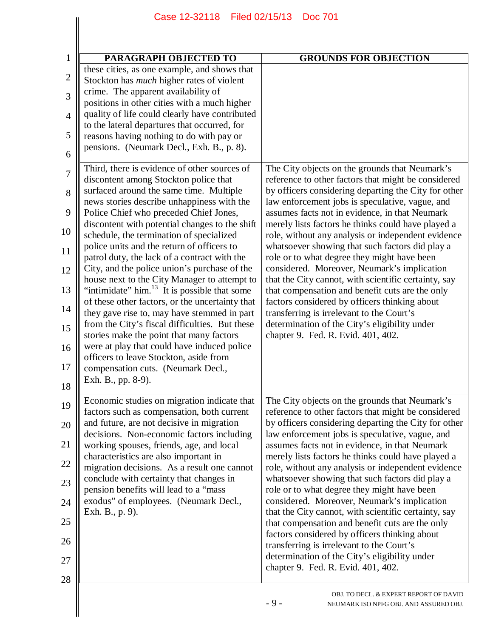|                | Case 12-32118<br>Filed 02/15/13                                                                          | <b>Doc 701</b>                                                                                                                                |
|----------------|----------------------------------------------------------------------------------------------------------|-----------------------------------------------------------------------------------------------------------------------------------------------|
|                |                                                                                                          |                                                                                                                                               |
| $\mathbf{1}$   | PARAGRAPH OBJECTED TO                                                                                    | <b>GROUNDS FOR OBJECTION</b>                                                                                                                  |
|                | these cities, as one example, and shows that                                                             |                                                                                                                                               |
| $\mathbf{2}$   | Stockton has <i>much</i> higher rates of violent<br>crime. The apparent availability of                  |                                                                                                                                               |
| 3              | positions in other cities with a much higher                                                             |                                                                                                                                               |
| $\overline{4}$ | quality of life could clearly have contributed                                                           |                                                                                                                                               |
| 5              | to the lateral departures that occurred, for<br>reasons having nothing to do with pay or                 |                                                                                                                                               |
| 6              | pensions. (Neumark Decl., Exh. B., p. 8).                                                                |                                                                                                                                               |
| 7              | Third, there is evidence of other sources of                                                             | The City objects on the grounds that Neumark's                                                                                                |
| 8              | discontent among Stockton police that<br>surfaced around the same time. Multiple                         | reference to other factors that might be considered<br>by officers considering departing the City for other                                   |
| 9              | news stories describe unhappiness with the<br>Police Chief who preceded Chief Jones,                     | law enforcement jobs is speculative, vague, and<br>assumes facts not in evidence, in that Neumark                                             |
| 10             | discontent with potential changes to the shift<br>schedule, the termination of specialized               | merely lists factors he thinks could have played a<br>role, without any analysis or independent evidence                                      |
| 11             | police units and the return of officers to<br>patrol duty, the lack of a contract with the               | whatsoever showing that such factors did play a<br>role or to what degree they might have been                                                |
| 12             | City, and the police union's purchase of the                                                             | considered. Moreover, Neumark's implication                                                                                                   |
| 13             | house next to the City Manager to attempt to<br>"intimidate" him. <sup>13</sup> It is possible that some | that the City cannot, with scientific certainty, say<br>that compensation and benefit cuts are the only                                       |
| 14             | of these other factors, or the uncertainty that                                                          | factors considered by officers thinking about                                                                                                 |
|                | they gave rise to, may have stemmed in part<br>from the City's fiscal difficulties. But these            | transferring is irrelevant to the Court's<br>determination of the City's eligibility under                                                    |
| 15             | stories make the point that many factors                                                                 | chapter 9. Fed. R. Evid. 401, 402.                                                                                                            |
| 16             | were at play that could have induced police<br>officers to leave Stockton, aside from                    |                                                                                                                                               |
| 17             | compensation cuts. (Neumark Decl.,                                                                       |                                                                                                                                               |
| 18             | Exh. B., pp. 8-9).                                                                                       |                                                                                                                                               |
| 19             | Economic studies on migration indicate that<br>factors such as compensation, both current                | The City objects on the grounds that Neumark's<br>reference to other factors that might be considered                                         |
| 20             | and future, are not decisive in migration<br>decisions. Non-economic factors including                   | by officers considering departing the City for other<br>law enforcement jobs is speculative, vague, and                                       |
| 21             | working spouses, friends, age, and local                                                                 | assumes facts not in evidence, in that Neumark                                                                                                |
| 22             | characteristics are also important in<br>migration decisions. As a result one cannot                     | merely lists factors he thinks could have played a<br>role, without any analysis or independent evidence                                      |
| 23             | conclude with certainty that changes in                                                                  | whatsoever showing that such factors did play a                                                                                               |
| 24             | pension benefits will lead to a "mass<br>exodus" of employees. (Neumark Decl.,                           | role or to what degree they might have been<br>considered. Moreover, Neumark's implication                                                    |
| 25             | Exh. B., p. 9).                                                                                          | that the City cannot, with scientific certainty, say                                                                                          |
| 26             |                                                                                                          | that compensation and benefit cuts are the only<br>factors considered by officers thinking about<br>transferring is irrelevant to the Court's |
| 27             |                                                                                                          | determination of the City's eligibility under<br>chapter 9. Fed. R. Evid. 401, 402.                                                           |
| 28             |                                                                                                          |                                                                                                                                               |
|                |                                                                                                          | OBJ. TO DECL. & EXPERT REPORT OF DAVID<br>$-9-$<br>NEUMARK ISO NPFG OBJ. AND ASSURED OBJ.                                                     |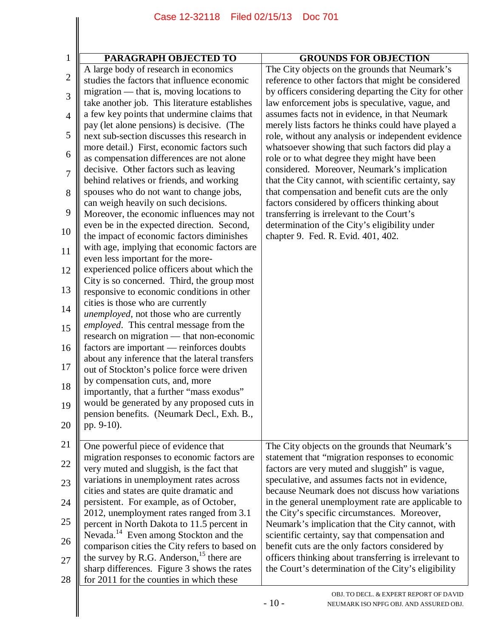| $\mathbf{1}$   | PARAGRAPH OBJECTED TO<br>A large body of research in economics | <b>GROUNDS FOR OBJECTION</b><br>The City objects on the grounds that Neumark's |
|----------------|----------------------------------------------------------------|--------------------------------------------------------------------------------|
| 2              | studies the factors that influence economic                    | reference to other factors that might be considered                            |
|                | migration — that is, moving locations to                       | by officers considering departing the City for other                           |
| 3              | take another job. This literature establishes                  | law enforcement jobs is speculative, vague, and                                |
|                | a few key points that undermine claims that                    | assumes facts not in evidence, in that Neumark                                 |
| $\overline{4}$ | pay (let alone pensions) is decisive. (The                     | merely lists factors he thinks could have played a                             |
| 5              | next sub-section discusses this research in                    | role, without any analysis or independent evidence                             |
|                | more detail.) First, economic factors such                     | whatsoever showing that such factors did play a                                |
| 6              | as compensation differences are not alone                      | role or to what degree they might have been                                    |
|                | decisive. Other factors such as leaving                        | considered. Moreover, Neumark's implication                                    |
| 7              | behind relatives or friends, and working                       | that the City cannot, with scientific certainty, say                           |
| 8              | spouses who do not want to change jobs,                        | that compensation and benefit cuts are the only                                |
|                | can weigh heavily on such decisions.                           | factors considered by officers thinking about                                  |
| 9              | Moreover, the economic influences may not                      | transferring is irrelevant to the Court's                                      |
|                | even be in the expected direction. Second,                     | determination of the City's eligibility under                                  |
| 10             | the impact of economic factors diminishes                      | chapter 9. Fed. R. Evid. 401, 402.                                             |
| 11             | with age, implying that economic factors are                   |                                                                                |
|                | even less important for the more-                              |                                                                                |
| 12             | experienced police officers about which the                    |                                                                                |
|                | City is so concerned. Third, the group most                    |                                                                                |
| 13             | responsive to economic conditions in other                     |                                                                                |
| 14             | cities is those who are currently                              |                                                                                |
|                | unemployed, not those who are currently                        |                                                                                |
| 15             | employed. This central message from the                        |                                                                                |
|                | research on migration — that non-economic                      |                                                                                |
| 16             | factors are important — reinforces doubts                      |                                                                                |
|                | about any inference that the lateral transfers                 |                                                                                |
| 17             | out of Stockton's police force were driven                     |                                                                                |
| 18             | by compensation cuts, and, more                                |                                                                                |
|                | importantly, that a further "mass exodus"                      |                                                                                |
| 19             | would be generated by any proposed cuts in                     |                                                                                |
| 20             | pension benefits. (Neumark Decl., Exh. B.,<br>pp. 9-10).       |                                                                                |
|                |                                                                |                                                                                |
| 21             | One powerful piece of evidence that                            | The City objects on the grounds that Neumark's                                 |
|                | migration responses to economic factors are                    | statement that "migration responses to economic                                |
| 22             | very muted and sluggish, is the fact that                      | factors are very muted and sluggish" is vague,                                 |
| 23             | variations in unemployment rates across                        | speculative, and assumes facts not in evidence,                                |
|                | cities and states are quite dramatic and                       | because Neumark does not discuss how variations                                |
| 24             | persistent. For example, as of October,                        | in the general unemployment rate are applicable to                             |
|                | 2012, unemployment rates ranged from 3.1                       | the City's specific circumstances. Moreover,                                   |
| 25             | percent in North Dakota to 11.5 percent in                     | Neumark's implication that the City cannot, with                               |
| 26             | Nevada. <sup>14</sup> Even among Stockton and the              | scientific certainty, say that compensation and                                |
|                | comparison cities the City refers to based on                  | benefit cuts are the only factors considered by                                |
| 27             | the survey by R.G. Anderson, <sup>15</sup> there are           | officers thinking about transferring is irrelevant to                          |
|                | sharp differences. Figure 3 shows the rates                    | the Court's determination of the City's eligibility                            |
| 28             | for 2011 for the counties in which these                       |                                                                                |
|                |                                                                | OBJ. TO DECL. & EXPERT REPORT OF DAVID                                         |
|                |                                                                | $-10-$<br>NEUMARK ISO NPFG OBJ. AND ASSURED OBJ.                               |
|                |                                                                |                                                                                |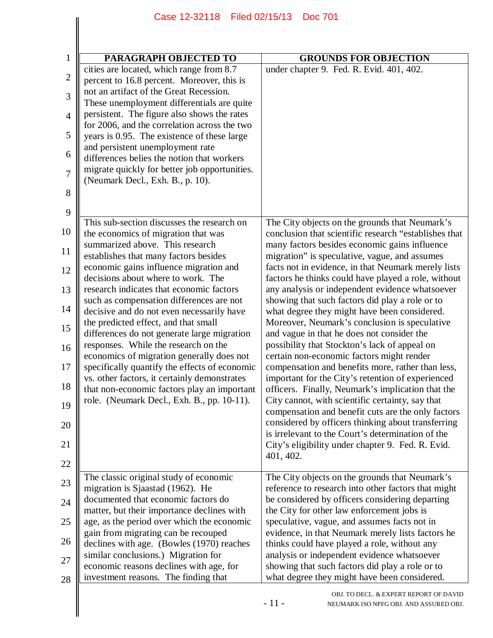## 1 2 3 4 5 6 7 8 9 10 11 12 13 14 15 16 17 18 19 20 21 22 23 24 25 26 27 28 **PARAGRAPH OBJECTED TO GROUNDS FOR OBJECTION** cities are located, which range from 8.7 percent to 16.8 percent. Moreover, this is not an artifact of the Great Recession. These unemployment differentials are quite persistent. The figure also shows the rates for 2006, and the correlation across the two years is 0.95. The existence of these large and persistent unemployment rate differences belies the notion that workers migrate quickly for better job opportunities. (Neumark Decl., Exh. B., p. 10). under chapter 9. Fed. R. Evid. 401, 402. This sub-section discusses the research on the economics of migration that was summarized above. This research establishes that many factors besides economic gains influence migration and decisions about where to work. The research indicates that economic factors such as compensation differences are not decisive and do not even necessarily have the predicted effect, and that small differences do not generate large migration responses. While the research on the economics of migration generally does not specifically quantify the effects of economic vs. other factors, it certainly demonstrates that non-economic factors play an important role. (Neumark Decl., Exh. B., pp. 10-11). The City objects on the grounds that Neumark's conclusion that scientific research "establishes that many factors besides economic gains influence migration" is speculative, vague, and assumes facts not in evidence, in that Neumark merely lists factors he thinks could have played a role, without any analysis or independent evidence whatsoever showing that such factors did play a role or to what degree they might have been considered. Moreover, Neumark's conclusion is speculative and vague in that he does not consider the possibility that Stockton's lack of appeal on certain non-economic factors might render compensation and benefits more, rather than less, important for the City's retention of experienced officers. Finally, Neumark's implication that the City cannot, with scientific certainty, say that compensation and benefit cuts are the only factors considered by officers thinking about transferring is irrelevant to the Court's determination of the City's eligibility under chapter 9. Fed. R. Evid. 401, 402. The classic original study of economic migration is Sjaastad (1962). He documented that economic factors do matter, but their importance declines with age, as the period over which the economic gain from migrating can be recouped declines with age. (Bowles (1970) reaches similar conclusions.) Migration for economic reasons declines with age, for investment reasons. The finding that The City objects on the grounds that Neumark's reference to research into other factors that might be considered by officers considering departing the City for other law enforcement jobs is speculative, vague, and assumes facts not in evidence, in that Neumark merely lists factors he thinks could have played a role, without any analysis or independent evidence whatsoever showing that such factors did play a role or to what degree they might have been considered. Case 12-32118 Filed 02/15/13 Doc 701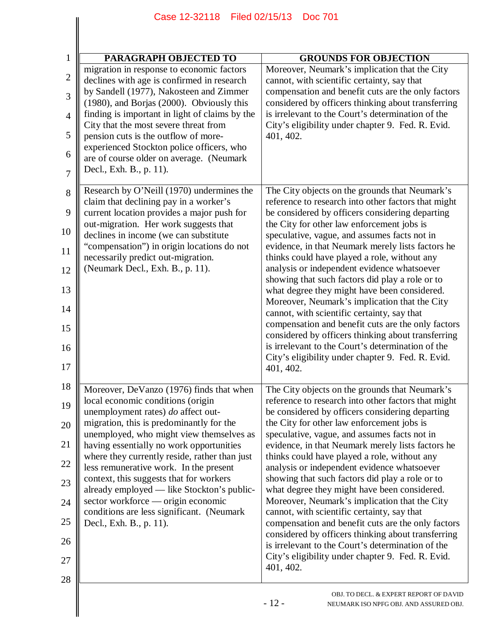| Case 12-32118<br>Filed 02/15/13<br><b>Doc 701</b>                                                                                                                                                                                                                                                                                                                                                                                                                                                                                                         |                                                                                                                                                                                                                                                                                                                                                                                                                                                                                                                                                                                                                                                                                                                                                                                                                                                  |
|-----------------------------------------------------------------------------------------------------------------------------------------------------------------------------------------------------------------------------------------------------------------------------------------------------------------------------------------------------------------------------------------------------------------------------------------------------------------------------------------------------------------------------------------------------------|--------------------------------------------------------------------------------------------------------------------------------------------------------------------------------------------------------------------------------------------------------------------------------------------------------------------------------------------------------------------------------------------------------------------------------------------------------------------------------------------------------------------------------------------------------------------------------------------------------------------------------------------------------------------------------------------------------------------------------------------------------------------------------------------------------------------------------------------------|
|                                                                                                                                                                                                                                                                                                                                                                                                                                                                                                                                                           |                                                                                                                                                                                                                                                                                                                                                                                                                                                                                                                                                                                                                                                                                                                                                                                                                                                  |
| PARAGRAPH OBJECTED TO<br>migration in response to economic factors<br>declines with age is confirmed in research<br>by Sandell (1977), Nakosteen and Zimmer<br>(1980), and Borjas (2000). Obviously this<br>finding is important in light of claims by the<br>City that the most severe threat from<br>pension cuts is the outflow of more-<br>experienced Stockton police officers, who<br>are of course older on average. (Neumark<br>Decl., Exh. B., p. 11).                                                                                           | <b>GROUNDS FOR OBJECTION</b><br>Moreover, Neumark's implication that the City<br>cannot, with scientific certainty, say that<br>compensation and benefit cuts are the only factors<br>considered by officers thinking about transferring<br>is irrelevant to the Court's determination of the<br>City's eligibility under chapter 9. Fed. R. Evid.<br>401, 402.                                                                                                                                                                                                                                                                                                                                                                                                                                                                                  |
| Research by O'Neill (1970) undermines the<br>claim that declining pay in a worker's<br>current location provides a major push for<br>out-migration. Her work suggests that<br>declines in income (we can substitute<br>"compensation") in origin locations do not<br>necessarily predict out-migration.<br>(Neumark Decl., Exh. B., p. 11).                                                                                                                                                                                                               | The City objects on the grounds that Neumark's<br>reference to research into other factors that might<br>be considered by officers considering departing<br>the City for other law enforcement jobs is<br>speculative, vague, and assumes facts not in<br>evidence, in that Neumark merely lists factors he<br>thinks could have played a role, without any<br>analysis or independent evidence whatsoever<br>showing that such factors did play a role or to<br>what degree they might have been considered.<br>Moreover, Neumark's implication that the City<br>cannot, with scientific certainty, say that<br>compensation and benefit cuts are the only factors<br>considered by officers thinking about transferring<br>is irrelevant to the Court's determination of the<br>City's eligibility under chapter 9. Fed. R. Evid.<br>401, 402. |
| Moreover, DeVanzo (1976) finds that when<br>local economic conditions (origin<br>unemployment rates) do affect out-<br>migration, this is predominantly for the<br>unemployed, who might view themselves as<br>having essentially no work opportunities<br>where they currently reside, rather than just<br>less remunerative work. In the present<br>context, this suggests that for workers<br>already employed - like Stockton's public-<br>sector workforce — origin economic<br>conditions are less significant. (Neumark<br>Decl., Exh. B., p. 11). | The City objects on the grounds that Neumark's<br>reference to research into other factors that might<br>be considered by officers considering departing<br>the City for other law enforcement jobs is<br>speculative, vague, and assumes facts not in<br>evidence, in that Neumark merely lists factors he<br>thinks could have played a role, without any<br>analysis or independent evidence whatsoever<br>showing that such factors did play a role or to<br>what degree they might have been considered.<br>Moreover, Neumark's implication that the City<br>cannot, with scientific certainty, say that<br>compensation and benefit cuts are the only factors<br>considered by officers thinking about transferring<br>is irrelevant to the Court's determination of the<br>City's eligibility under chapter 9. Fed. R. Evid.<br>401, 402. |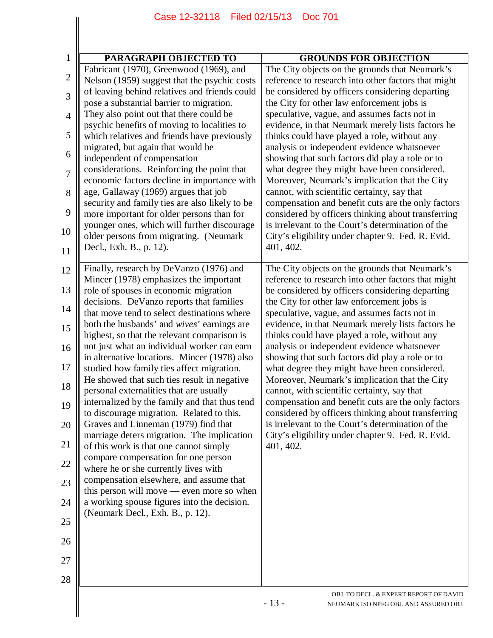|                | Filed 02/15/13<br>Case 12-32118<br><b>Doc 701</b>                                          |                                                                                                          |
|----------------|--------------------------------------------------------------------------------------------|----------------------------------------------------------------------------------------------------------|
|                |                                                                                            |                                                                                                          |
|                |                                                                                            |                                                                                                          |
| $\mathbf{1}$   | PARAGRAPH OBJECTED TO                                                                      | <b>GROUNDS FOR OBJECTION</b>                                                                             |
| $\overline{2}$ | Fabricant (1970), Greenwood (1969), and<br>Nelson (1959) suggest that the psychic costs    | The City objects on the grounds that Neumark's<br>reference to research into other factors that might    |
| 3              | of leaving behind relatives and friends could<br>pose a substantial barrier to migration.  | be considered by officers considering departing<br>the City for other law enforcement jobs is            |
| $\overline{4}$ | They also point out that there could be                                                    | speculative, vague, and assumes facts not in                                                             |
| 5              | psychic benefits of moving to localities to<br>which relatives and friends have previously | evidence, in that Neumark merely lists factors he<br>thinks could have played a role, without any        |
| 6              | migrated, but again that would be<br>independent of compensation                           | analysis or independent evidence whatsoever<br>showing that such factors did play a role or to           |
| $\overline{7}$ | considerations. Reinforcing the point that<br>economic factors decline in importance with  | what degree they might have been considered.<br>Moreover, Neumark's implication that the City            |
| 8              | age, Gallaway (1969) argues that job<br>security and family ties are also likely to be     | cannot, with scientific certainty, say that<br>compensation and benefit cuts are the only factors        |
| 9              | more important for older persons than for<br>younger ones, which will further discourage   | considered by officers thinking about transferring<br>is irrelevant to the Court's determination of the  |
| 10             | older persons from migrating. (Neumark<br>Decl., Exh. B., p. 12).                          | City's eligibility under chapter 9. Fed. R. Evid.<br>401, 402.                                           |
| 11<br>12       | Finally, research by DeVanzo (1976) and                                                    | The City objects on the grounds that Neumark's                                                           |
| 13             | Mincer (1978) emphasizes the important<br>role of spouses in economic migration            | reference to research into other factors that might<br>be considered by officers considering departing   |
| 14             | decisions. DeVanzo reports that families<br>that move tend to select destinations where    | the City for other law enforcement jobs is<br>speculative, vague, and assumes facts not in               |
| 15             | both the husbands' and wives' earnings are                                                 | evidence, in that Neumark merely lists factors he                                                        |
| 16             | highest, so that the relevant comparison is<br>not just what an individual worker can earn | thinks could have played a role, without any<br>analysis or independent evidence whatsoever              |
| 17             | in alternative locations. Mincer (1978) also<br>studied how family ties affect migration.  | showing that such factors did play a role or to<br>what degree they might have been considered.          |
| 18             | He showed that such ties result in negative<br>personal externalities that are usually     | Moreover, Neumark's implication that the City<br>cannot, with scientific certainty, say that             |
| 19             | internalized by the family and that thus tend<br>to discourage migration. Related to this, | compensation and benefit cuts are the only factors<br>considered by officers thinking about transferring |
| 20             | Graves and Linneman (1979) find that<br>marriage deters migration. The implication         | is irrelevant to the Court's determination of the<br>City's eligibility under chapter 9. Fed. R. Evid.   |
| 21             | of this work is that one cannot simply                                                     | 401, 402.                                                                                                |
| 22             | compare compensation for one person<br>where he or she currently lives with                |                                                                                                          |
| 23             | compensation elsewhere, and assume that<br>this person will move — even more so when       |                                                                                                          |
| 24             | a working spouse figures into the decision.<br>(Neumark Decl., Exh. B., p. 12).            |                                                                                                          |
| 25             |                                                                                            |                                                                                                          |
| 26             |                                                                                            |                                                                                                          |
| 27             |                                                                                            |                                                                                                          |
| 28             |                                                                                            | OBJ. TO DECL. & EXPERT REPORT OF DAVID<br>$-13-$<br>NEUMARK ISO NPFG OBJ. AND ASSURED OBJ.               |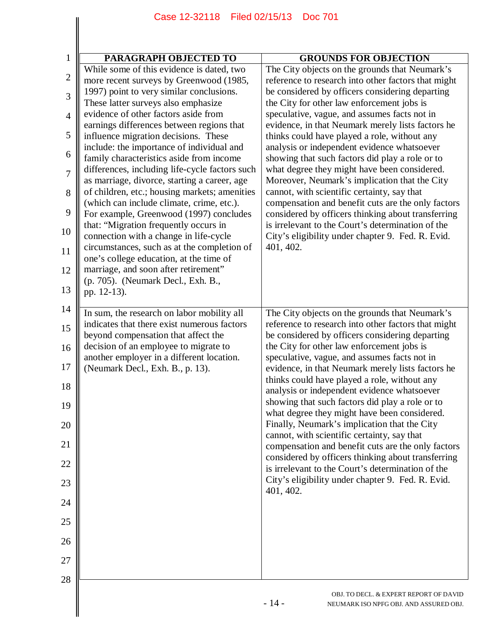|                | Case 12-32118<br>Filed 02/15/13                                                                                               | <b>Doc 701</b>                                                                                                                                                |
|----------------|-------------------------------------------------------------------------------------------------------------------------------|---------------------------------------------------------------------------------------------------------------------------------------------------------------|
|                |                                                                                                                               |                                                                                                                                                               |
|                |                                                                                                                               |                                                                                                                                                               |
| $\mathbf{1}$   | PARAGRAPH OBJECTED TO<br>While some of this evidence is dated, two                                                            | <b>GROUNDS FOR OBJECTION</b><br>The City objects on the grounds that Neumark's                                                                                |
| $\mathbf{2}$   | more recent surveys by Greenwood (1985,                                                                                       | reference to research into other factors that might                                                                                                           |
| 3              | 1997) point to very similar conclusions.<br>These latter surveys also emphasize                                               | be considered by officers considering departing<br>the City for other law enforcement jobs is                                                                 |
| $\overline{4}$ | evidence of other factors aside from                                                                                          | speculative, vague, and assumes facts not in                                                                                                                  |
| 5              | earnings differences between regions that<br>influence migration decisions. These                                             | evidence, in that Neumark merely lists factors he<br>thinks could have played a role, without any                                                             |
| 6              | include: the importance of individual and<br>family characteristics aside from income                                         | analysis or independent evidence whatsoever<br>showing that such factors did play a role or to                                                                |
| 7              | differences, including life-cycle factors such<br>as marriage, divorce, starting a career, age                                | what degree they might have been considered.<br>Moreover, Neumark's implication that the City                                                                 |
| 8              | of children, etc.; housing markets; amenities                                                                                 | cannot, with scientific certainty, say that                                                                                                                   |
| 9              | (which can include climate, crime, etc.).<br>For example, Greenwood (1997) concludes<br>that: "Migration frequently occurs in | compensation and benefit cuts are the only factors<br>considered by officers thinking about transferring<br>is irrelevant to the Court's determination of the |
| 10             | connection with a change in life-cycle<br>circumstances, such as at the completion of                                         | City's eligibility under chapter 9. Fed. R. Evid.<br>401, 402.                                                                                                |
| 11<br>12       | one's college education, at the time of<br>marriage, and soon after retirement"                                               |                                                                                                                                                               |
| 13             | (p. 705). (Neumark Decl., Exh. B.,<br>pp. 12-13).                                                                             |                                                                                                                                                               |
| 14             |                                                                                                                               |                                                                                                                                                               |
|                | In sum, the research on labor mobility all<br>indicates that there exist numerous factors                                     | The City objects on the grounds that Neumark's<br>reference to research into other factors that might                                                         |
| 15             | beyond compensation that affect the                                                                                           | be considered by officers considering departing                                                                                                               |
| 16<br>17       | decision of an employee to migrate to<br>another employer in a different location.                                            | the City for other law enforcement jobs is<br>speculative, vague, and assumes facts not in                                                                    |
| 18             | (Neumark Decl., Exh. B., p. 13).                                                                                              | evidence, in that Neumark merely lists factors he<br>thinks could have played a role, without any<br>analysis or independent evidence whatsoever              |
| 19             |                                                                                                                               | showing that such factors did play a role or to<br>what degree they might have been considered.                                                               |
| 20             |                                                                                                                               | Finally, Neumark's implication that the City<br>cannot, with scientific certainty, say that                                                                   |
| 21             |                                                                                                                               | compensation and benefit cuts are the only factors<br>considered by officers thinking about transferring                                                      |
| 22             |                                                                                                                               | is irrelevant to the Court's determination of the<br>City's eligibility under chapter 9. Fed. R. Evid.                                                        |
| 23<br>24       |                                                                                                                               | 401, 402.                                                                                                                                                     |
| 25             |                                                                                                                               |                                                                                                                                                               |
| 26             |                                                                                                                               |                                                                                                                                                               |
| 27             |                                                                                                                               |                                                                                                                                                               |
| 28             |                                                                                                                               |                                                                                                                                                               |
|                |                                                                                                                               | OBJ. TO DECL. & EXPERT REPORT OF DAVID<br>$-14-$<br>NEUMARK ISO NPFG OBJ. AND ASSURED OBJ.                                                                    |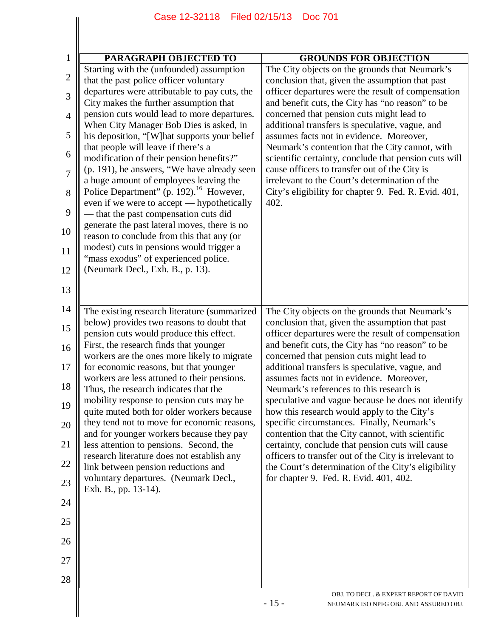|                     | Case 12-32118   Filed 02/15/13   Doc 701                                                      |                                                                                                                                                         |
|---------------------|-----------------------------------------------------------------------------------------------|---------------------------------------------------------------------------------------------------------------------------------------------------------|
|                     |                                                                                               |                                                                                                                                                         |
|                     |                                                                                               |                                                                                                                                                         |
| $\mathbf{1}$        | PARAGRAPH OBJECTED TO<br>Starting with the (unfounded) assumption                             | <b>GROUNDS FOR OBJECTION</b><br>The City objects on the grounds that Neumark's                                                                          |
| $\mathbf{2}$        | that the past police officer voluntary                                                        | conclusion that, given the assumption that past                                                                                                         |
| 3                   | departures were attributable to pay cuts, the<br>City makes the further assumption that       | officer departures were the result of compensation<br>and benefit cuts, the City has "no reason" to be                                                  |
| $\overline{4}$      | pension cuts would lead to more departures.<br>When City Manager Bob Dies is asked, in        | concerned that pension cuts might lead to<br>additional transfers is speculative, vague, and                                                            |
| 5                   | his deposition, "[W] hat supports your belief<br>that people will leave if there's a          | assumes facts not in evidence. Moreover,<br>Neumark's contention that the City cannot, with                                                             |
| 6                   | modification of their pension benefits?"<br>(p. 191), he answers, "We have already seen       | scientific certainty, conclude that pension cuts will                                                                                                   |
| $\overline{7}$<br>8 | a huge amount of employees leaving the<br>Police Department" (p. 192). <sup>16</sup> However, | cause officers to transfer out of the City is<br>irrelevant to the Court's determination of the<br>City's eligibility for chapter 9. Fed. R. Evid. 401, |
| 9                   | even if we were to accept — hypothetically<br>- that the past compensation cuts did           | 402.                                                                                                                                                    |
| 10                  | generate the past lateral moves, there is no<br>reason to conclude from this that any (or     |                                                                                                                                                         |
| 11                  | modest) cuts in pensions would trigger a                                                      |                                                                                                                                                         |
| 12                  | "mass exodus" of experienced police.<br>(Neumark Decl., Exh. B., p. 13).                      |                                                                                                                                                         |
| 13                  |                                                                                               |                                                                                                                                                         |
| 14                  | The existing research literature (summarized                                                  | The City objects on the grounds that Neumark's                                                                                                          |
| 15                  | below) provides two reasons to doubt that<br>pension cuts would produce this effect.          | conclusion that, given the assumption that past<br>officer departures were the result of compensation                                                   |
| 16                  | First, the research finds that younger<br>workers are the ones more likely to migrate         | and benefit cuts, the City has "no reason" to be<br>concerned that pension cuts might lead to                                                           |
| 17                  | for economic reasons, but that younger<br>workers are less attuned to their pensions.         | additional transfers is speculative, vague, and<br>assumes facts not in evidence. Moreover,                                                             |
| 18                  | Thus, the research indicates that the<br>mobility response to pension cuts may be             | Neumark's references to this research is<br>speculative and vague because he does not identify                                                          |
| 19                  | quite muted both for older workers because<br>they tend not to move for economic reasons,     | how this research would apply to the City's<br>specific circumstances. Finally, Neumark's                                                               |
| 20<br>21            | and for younger workers because they pay<br>less attention to pensions. Second, the           | contention that the City cannot, with scientific<br>certainty, conclude that pension cuts will cause                                                    |
| 22                  | research literature does not establish any                                                    | officers to transfer out of the City is irrelevant to                                                                                                   |
| 23                  | link between pension reductions and<br>voluntary departures. (Neumark Decl.,                  | the Court's determination of the City's eligibility<br>for chapter 9. Fed. R. Evid. 401, 402.                                                           |
| 24                  | Exh. B., pp. 13-14).                                                                          |                                                                                                                                                         |
| 25                  |                                                                                               |                                                                                                                                                         |
| 26                  |                                                                                               |                                                                                                                                                         |
| 27                  |                                                                                               |                                                                                                                                                         |
| 28                  |                                                                                               |                                                                                                                                                         |
|                     |                                                                                               | OBJ. TO DECL. & EXPERT REPORT OF DAVID<br>$-15-$<br>NEUMARK ISO NPFG OBJ. AND ASSURED OBJ.                                                              |
|                     |                                                                                               |                                                                                                                                                         |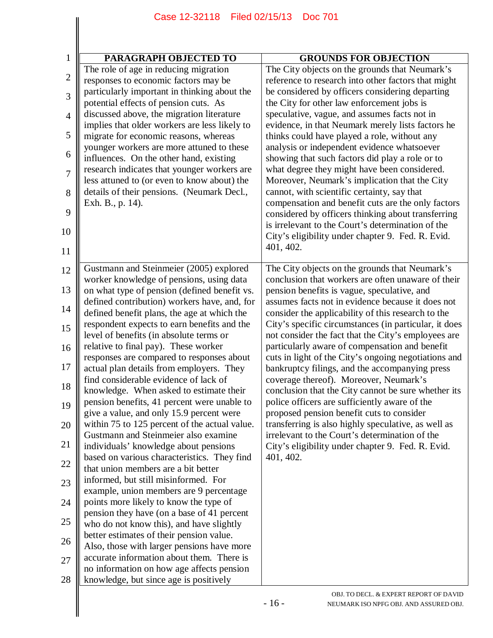| $\mathbf{1}$   | PARAGRAPH OBJECTED TO                                                                      | <b>GROUNDS FOR OBJECTION</b>                                                                                |
|----------------|--------------------------------------------------------------------------------------------|-------------------------------------------------------------------------------------------------------------|
|                | The role of age in reducing migration                                                      | The City objects on the grounds that Neumark's                                                              |
| $\overline{c}$ | responses to economic factors may be                                                       | reference to research into other factors that might                                                         |
| 3              | particularly important in thinking about the                                               | be considered by officers considering departing                                                             |
|                | potential effects of pension cuts. As                                                      | the City for other law enforcement jobs is                                                                  |
| 4              | discussed above, the migration literature<br>implies that older workers are less likely to | speculative, vague, and assumes facts not in<br>evidence, in that Neumark merely lists factors he           |
| 5              | migrate for economic reasons, whereas                                                      | thinks could have played a role, without any                                                                |
|                | younger workers are more attuned to these                                                  | analysis or independent evidence whatsoever                                                                 |
| 6              | influences. On the other hand, existing                                                    | showing that such factors did play a role or to                                                             |
| 7              | research indicates that younger workers are                                                | what degree they might have been considered.                                                                |
|                | less attuned to (or even to know about) the                                                | Moreover, Neumark's implication that the City                                                               |
| 8              | details of their pensions. (Neumark Decl.,                                                 | cannot, with scientific certainty, say that                                                                 |
| 9              | Exh. B., p. 14).                                                                           | compensation and benefit cuts are the only factors                                                          |
|                |                                                                                            | considered by officers thinking about transferring<br>is irrelevant to the Court's determination of the     |
| 10             |                                                                                            | City's eligibility under chapter 9. Fed. R. Evid.                                                           |
|                |                                                                                            | 401, 402.                                                                                                   |
| 11             |                                                                                            |                                                                                                             |
| 12             | Gustmann and Steinmeier (2005) explored                                                    | The City objects on the grounds that Neumark's                                                              |
|                | worker knowledge of pensions, using data                                                   | conclusion that workers are often unaware of their                                                          |
| 13             | on what type of pension (defined benefit vs.                                               | pension benefits is vague, speculative, and                                                                 |
| 14             | defined contribution) workers have, and, for                                               | assumes facts not in evidence because it does not                                                           |
|                | defined benefit plans, the age at which the<br>respondent expects to earn benefits and the | consider the applicability of this research to the<br>City's specific circumstances (in particular, it does |
| 15             | level of benefits (in absolute terms or                                                    | not consider the fact that the City's employees are                                                         |
| 16             | relative to final pay). These worker                                                       | particularly aware of compensation and benefit                                                              |
|                | responses are compared to responses about                                                  | cuts in light of the City's ongoing negotiations and                                                        |
| 17             | actual plan details from employers. They                                                   | bankruptcy filings, and the accompanying press                                                              |
| 18             | find considerable evidence of lack of                                                      | coverage thereof). Moreover, Neumark's                                                                      |
|                | knowledge. When asked to estimate their                                                    | conclusion that the City cannot be sure whether its                                                         |
| 19             | pension benefits, 41 percent were unable to                                                | police officers are sufficiently aware of the                                                               |
|                | give a value, and only 15.9 percent were<br>within 75 to 125 percent of the actual value.  | proposed pension benefit cuts to consider<br>transferring is also highly speculative, as well as            |
| 20             | Gustmann and Steinmeier also examine                                                       | irrelevant to the Court's determination of the                                                              |
| 21             | individuals' knowledge about pensions                                                      | City's eligibility under chapter 9. Fed. R. Evid.                                                           |
|                | based on various characteristics. They find                                                | 401, 402.                                                                                                   |
| 22             | that union members are a bit better                                                        |                                                                                                             |
| 23             | informed, but still misinformed. For                                                       |                                                                                                             |
|                | example, union members are 9 percentage                                                    |                                                                                                             |
| 24             | points more likely to know the type of                                                     |                                                                                                             |
| 25             | pension they have (on a base of 41 percent                                                 |                                                                                                             |
|                | who do not know this), and have slightly<br>better estimates of their pension value.       |                                                                                                             |
| 26             | Also, those with larger pensions have more                                                 |                                                                                                             |
| 27             | accurate information about them. There is                                                  |                                                                                                             |
|                | no information on how age affects pension                                                  |                                                                                                             |
| 28             | knowledge, but since age is positively                                                     |                                                                                                             |
|                |                                                                                            | OBJ. TO DECL. & EXPERT REPORT OF DAVID<br>$-16-$<br>NEUMARK ISO NPFG OBJ. AND ASSURED OBJ.                  |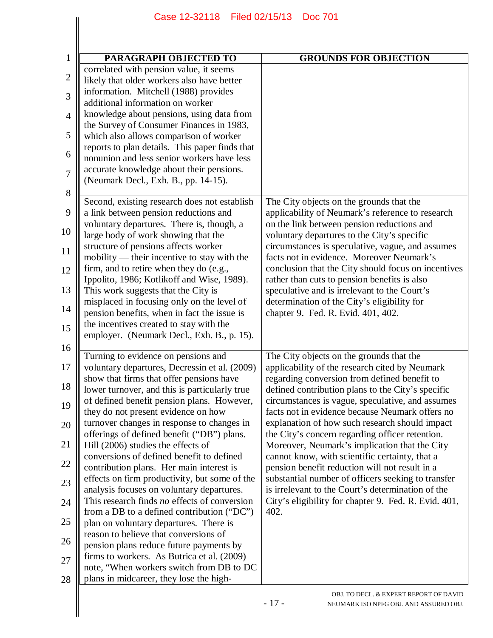|                | Case 12-32118 Filed 02/15/13                                                                | <b>Doc 701</b>                                                                                        |  |
|----------------|---------------------------------------------------------------------------------------------|-------------------------------------------------------------------------------------------------------|--|
|                |                                                                                             |                                                                                                       |  |
|                |                                                                                             |                                                                                                       |  |
| $\mathbf{1}$   | PARAGRAPH OBJECTED TO                                                                       | <b>GROUNDS FOR OBJECTION</b>                                                                          |  |
|                | correlated with pension value, it seems                                                     |                                                                                                       |  |
| $\mathbf{2}$   | likely that older workers also have better                                                  |                                                                                                       |  |
| 3              | information. Mitchell (1988) provides                                                       |                                                                                                       |  |
|                | additional information on worker                                                            |                                                                                                       |  |
| $\overline{4}$ | knowledge about pensions, using data from                                                   |                                                                                                       |  |
|                | the Survey of Consumer Finances in 1983,                                                    |                                                                                                       |  |
| 5              | which also allows comparison of worker                                                      |                                                                                                       |  |
| 6              | reports to plan details. This paper finds that                                              |                                                                                                       |  |
|                | nonunion and less senior workers have less<br>accurate knowledge about their pensions.      |                                                                                                       |  |
| 7              | (Neumark Decl., Exh. B., pp. 14-15).                                                        |                                                                                                       |  |
| 8              |                                                                                             |                                                                                                       |  |
|                | Second, existing research does not establish                                                | The City objects on the grounds that the                                                              |  |
| 9              | a link between pension reductions and                                                       | applicability of Neumark's reference to research                                                      |  |
|                | voluntary departures. There is, though, a                                                   | on the link between pension reductions and                                                            |  |
| 10             | large body of work showing that the                                                         | voluntary departures to the City's specific                                                           |  |
| 11             | structure of pensions affects worker                                                        | circumstances is speculative, vague, and assumes                                                      |  |
|                | mobility — their incentive to stay with the                                                 | facts not in evidence. Moreover Neumark's                                                             |  |
| 12             | firm, and to retire when they do (e.g.,                                                     | conclusion that the City should focus on incentives                                                   |  |
| 13             | Ippolito, 1986; Kotlikoff and Wise, 1989).                                                  | rather than cuts to pension benefits is also                                                          |  |
|                | This work suggests that the City is<br>misplaced in focusing only on the level of           | speculative and is irrelevant to the Court's<br>determination of the City's eligibility for           |  |
| 14             | pension benefits, when in fact the issue is                                                 | chapter 9. Fed. R. Evid. 401, 402.                                                                    |  |
|                | the incentives created to stay with the                                                     |                                                                                                       |  |
| 15             | employer. (Neumark Decl., Exh. B., p. 15).                                                  |                                                                                                       |  |
| 16             |                                                                                             |                                                                                                       |  |
|                | Turning to evidence on pensions and                                                         | The City objects on the grounds that the                                                              |  |
| 17             | voluntary departures, Decressin et al. (2009)                                               | applicability of the research cited by Neumark                                                        |  |
| 18             | show that firms that offer pensions have                                                    | regarding conversion from defined benefit to                                                          |  |
|                | lower turnover, and this is particularly true<br>of defined benefit pension plans. However, | defined contribution plans to the City's specific<br>circumstances is vague, speculative, and assumes |  |
| 19             | they do not present evidence on how                                                         | facts not in evidence because Neumark offers no                                                       |  |
| 20             | turnover changes in response to changes in                                                  | explanation of how such research should impact                                                        |  |
|                | offerings of defined benefit ("DB") plans.                                                  | the City's concern regarding officer retention.                                                       |  |
| 21             | Hill (2006) studies the effects of                                                          | Moreover, Neumark's implication that the City                                                         |  |
|                | conversions of defined benefit to defined                                                   | cannot know, with scientific certainty, that a                                                        |  |
| 22             | contribution plans. Her main interest is                                                    | pension benefit reduction will not result in a                                                        |  |
| 23             | effects on firm productivity, but some of the                                               | substantial number of officers seeking to transfer                                                    |  |
|                | analysis focuses on voluntary departures.                                                   | is irrelevant to the Court's determination of the                                                     |  |
| 24             | This research finds no effects of conversion                                                | City's eligibility for chapter 9. Fed. R. Evid. 401,                                                  |  |
| 25             | from a DB to a defined contribution ("DC")                                                  | 402.                                                                                                  |  |
|                | plan on voluntary departures. There is<br>reason to believe that conversions of             |                                                                                                       |  |
| 26             | pension plans reduce future payments by                                                     |                                                                                                       |  |
|                | firms to workers. As Butrica et al. (2009)                                                  |                                                                                                       |  |
| 27             | note, "When workers switch from DB to DC                                                    |                                                                                                       |  |
| 28             | plans in midcareer, they lose the high-                                                     |                                                                                                       |  |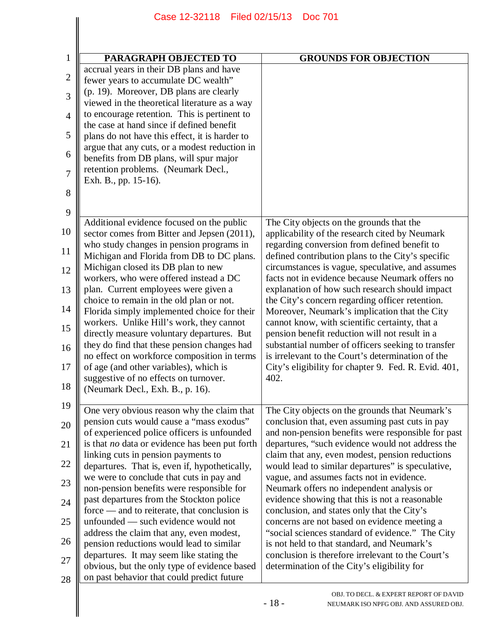|                | Filed 02/15/13<br>Case 12-32118                                                               | <b>Doc 701</b>                                                                                            |
|----------------|-----------------------------------------------------------------------------------------------|-----------------------------------------------------------------------------------------------------------|
|                |                                                                                               |                                                                                                           |
|                |                                                                                               |                                                                                                           |
| 1              | PARAGRAPH OBJECTED TO<br>accrual years in their DB plans and have                             | <b>GROUNDS FOR OBJECTION</b>                                                                              |
| $\overline{2}$ | fewer years to accumulate DC wealth"                                                          |                                                                                                           |
| 3              | (p. 19). Moreover, DB plans are clearly                                                       |                                                                                                           |
| $\overline{4}$ | viewed in the theoretical literature as a way<br>to encourage retention. This is pertinent to |                                                                                                           |
|                | the case at hand since if defined benefit                                                     |                                                                                                           |
| 5              | plans do not have this effect, it is harder to                                                |                                                                                                           |
| 6              | argue that any cuts, or a modest reduction in<br>benefits from DB plans, will spur major      |                                                                                                           |
| $\overline{7}$ | retention problems. (Neumark Decl.,                                                           |                                                                                                           |
|                | Exh. B., pp. 15-16).                                                                          |                                                                                                           |
| 8              |                                                                                               |                                                                                                           |
| 9              |                                                                                               |                                                                                                           |
| 10             | Additional evidence focused on the public<br>sector comes from Bitter and Jepsen (2011),      | The City objects on the grounds that the<br>applicability of the research cited by Neumark                |
| 11             | who study changes in pension programs in<br>Michigan and Florida from DB to DC plans.         | regarding conversion from defined benefit to<br>defined contribution plans to the City's specific         |
| 12             | Michigan closed its DB plan to new                                                            | circumstances is vague, speculative, and assumes                                                          |
| 13             | workers, who were offered instead a DC<br>plan. Current employees were given a                | facts not in evidence because Neumark offers no<br>explanation of how such research should impact         |
|                | choice to remain in the old plan or not.                                                      | the City's concern regarding officer retention.                                                           |
| 14             | Florida simply implemented choice for their<br>workers. Unlike Hill's work, they cannot       | Moreover, Neumark's implication that the City<br>cannot know, with scientific certainty, that a           |
| 15             | directly measure voluntary departures. But                                                    | pension benefit reduction will not result in a                                                            |
| 16             | they do find that these pension changes had                                                   | substantial number of officers seeking to transfer                                                        |
| 17             | no effect on workforce composition in terms<br>of age (and other variables), which is         | is irrelevant to the Court's determination of the<br>City's eligibility for chapter 9. Fed. R. Evid. 401, |
|                | suggestive of no effects on turnover.                                                         | 402.                                                                                                      |
| 18             | (Neumark Decl., Exh. B., p. 16).                                                              |                                                                                                           |
| 19             | One very obvious reason why the claim that                                                    | The City objects on the grounds that Neumark's                                                            |
| 20             | pension cuts would cause a "mass exodus"<br>of experienced police officers is unfounded       | conclusion that, even assuming past cuts in pay<br>and non-pension benefits were responsible for past     |
| 21             | is that no data or evidence has been put forth<br>linking cuts in pension payments to         | departures, "such evidence would not address the<br>claim that any, even modest, pension reductions       |
| 22             | departures. That is, even if, hypothetically,<br>we were to conclude that cuts in pay and     | would lead to similar departures" is speculative,<br>vague, and assumes facts not in evidence.            |
| 23             | non-pension benefits were responsible for<br>past departures from the Stockton police         | Neumark offers no independent analysis or<br>evidence showing that this is not a reasonable               |
| 24             | $force$ — and to reiterate, that conclusion is                                                | conclusion, and states only that the City's                                                               |
| 25             | unfounded — such evidence would not<br>address the claim that any, even modest,               | concerns are not based on evidence meeting a<br>"social sciences standard of evidence." The City          |
| 26             | pension reductions would lead to similar                                                      | is not held to that standard, and Neumark's                                                               |
| 27             | departures. It may seem like stating the                                                      | conclusion is therefore irrelevant to the Court's                                                         |
| 28             | obvious, but the only type of evidence based<br>on past behavior that could predict future    | determination of the City's eligibility for                                                               |
|                |                                                                                               | OBJ. TO DECL. & EXPERT REPORT OF DAVID<br>$-18-$<br>NEUMARK ISO NPFG OBJ. AND ASSURED OBJ.                |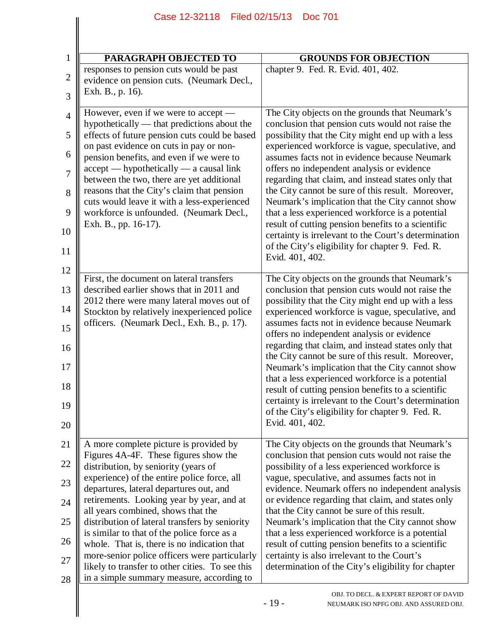| Filed 02/15/13<br>Case 12-32118<br><b>Doc 701</b>                                                                                                                                                                                                                                                                                                                                                                                                                                                                                                                                                     |                                                                                                                                                                                                                                                                                                                                                                                                                                                                                                                                                                                                                                                                                                                    |
|-------------------------------------------------------------------------------------------------------------------------------------------------------------------------------------------------------------------------------------------------------------------------------------------------------------------------------------------------------------------------------------------------------------------------------------------------------------------------------------------------------------------------------------------------------------------------------------------------------|--------------------------------------------------------------------------------------------------------------------------------------------------------------------------------------------------------------------------------------------------------------------------------------------------------------------------------------------------------------------------------------------------------------------------------------------------------------------------------------------------------------------------------------------------------------------------------------------------------------------------------------------------------------------------------------------------------------------|
|                                                                                                                                                                                                                                                                                                                                                                                                                                                                                                                                                                                                       |                                                                                                                                                                                                                                                                                                                                                                                                                                                                                                                                                                                                                                                                                                                    |
| <b>PARAGRAPH OBJECTED TO</b>                                                                                                                                                                                                                                                                                                                                                                                                                                                                                                                                                                          | <b>GROUNDS FOR OBJECTION</b>                                                                                                                                                                                                                                                                                                                                                                                                                                                                                                                                                                                                                                                                                       |
| responses to pension cuts would be past<br>evidence on pension cuts. (Neumark Decl.,<br>Exh. B., p. 16).                                                                                                                                                                                                                                                                                                                                                                                                                                                                                              | chapter 9. Fed. R. Evid. 401, 402.                                                                                                                                                                                                                                                                                                                                                                                                                                                                                                                                                                                                                                                                                 |
| However, even if we were to accept -<br>hypothetically — that predictions about the<br>effects of future pension cuts could be based<br>on past evidence on cuts in pay or non-<br>pension benefits, and even if we were to<br>$accept$ -hypothetically - a causal link<br>between the two, there are yet additional<br>reasons that the City's claim that pension<br>cuts would leave it with a less-experienced<br>workforce is unfounded. (Neumark Decl.,<br>Exh. B., pp. 16-17).                                                                                                                  | The City objects on the grounds that Neumark's<br>conclusion that pension cuts would not raise the<br>possibility that the City might end up with a less<br>experienced workforce is vague, speculative, and<br>assumes facts not in evidence because Neumark<br>offers no independent analysis or evidence<br>regarding that claim, and instead states only that<br>the City cannot be sure of this result. Moreover,<br>Neumark's implication that the City cannot show<br>that a less experienced workforce is a potential<br>result of cutting pension benefits to a scientific<br>certainty is irrelevant to the Court's determination<br>of the City's eligibility for chapter 9. Fed. R.<br>Evid. 401, 402. |
| First, the document on lateral transfers<br>described earlier shows that in 2011 and<br>2012 there were many lateral moves out of<br>Stockton by relatively inexperienced police<br>officers. (Neumark Decl., Exh. B., p. 17).                                                                                                                                                                                                                                                                                                                                                                        | The City objects on the grounds that Neumark's<br>conclusion that pension cuts would not raise the<br>possibility that the City might end up with a less<br>experienced workforce is vague, speculative, and<br>assumes facts not in evidence because Neumark<br>offers no independent analysis or evidence<br>regarding that claim, and instead states only that<br>the City cannot be sure of this result. Moreover,<br>Neumark's implication that the City cannot show<br>that a less experienced workforce is a potential<br>result of cutting pension benefits to a scientific<br>certainty is irrelevant to the Court's determination<br>of the City's eligibility for chapter 9. Fed. R.<br>Evid. 401, 402. |
| A more complete picture is provided by<br>Figures 4A-4F. These figures show the<br>distribution, by seniority (years of<br>experience) of the entire police force, all<br>departures, lateral departures out, and<br>retirements. Looking year by year, and at<br>all years combined, shows that the<br>distribution of lateral transfers by seniority<br>is similar to that of the police force as a<br>whole. That is, there is no indication that<br>more-senior police officers were particularly<br>likely to transfer to other cities. To see this<br>in a simple summary measure, according to | The City objects on the grounds that Neumark's<br>conclusion that pension cuts would not raise the<br>possibility of a less experienced workforce is<br>vague, speculative, and assumes facts not in<br>evidence. Neumark offers no independent analysis<br>or evidence regarding that claim, and states only<br>that the City cannot be sure of this result.<br>Neumark's implication that the City cannot show<br>that a less experienced workforce is a potential<br>result of cutting pension benefits to a scientific<br>certainty is also irrelevant to the Court's<br>determination of the City's eligibility for chapter                                                                                   |
|                                                                                                                                                                                                                                                                                                                                                                                                                                                                                                                                                                                                       | OBJ. TO DECL. & EXPERT REPORT OF DAVID<br>$-19-$<br>NEUMARK ISO NPFG OBJ. AND ASSURED OBJ.                                                                                                                                                                                                                                                                                                                                                                                                                                                                                                                                                                                                                         |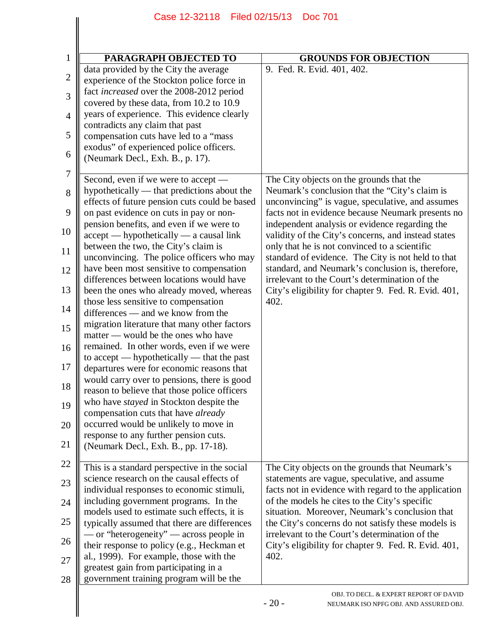| <b>PARAGRAPH OBJECTED TO</b>                                                                                                    | <b>GROUNDS FOR OBJECTION</b>                                                                          |
|---------------------------------------------------------------------------------------------------------------------------------|-------------------------------------------------------------------------------------------------------|
| data provided by the City the average<br>experience of the Stockton police force in<br>fact increased over the 2008-2012 period | 9. Fed. R. Evid. 401, 402.                                                                            |
| covered by these data, from 10.2 to 10.9<br>years of experience. This evidence clearly                                          |                                                                                                       |
| contradicts any claim that past<br>compensation cuts have led to a "mass"                                                       |                                                                                                       |
| exodus" of experienced police officers.<br>(Neumark Decl., Exh. B., p. 17).                                                     |                                                                                                       |
| Second, even if we were to accept —<br>hypothetically — that predictions about the                                              | The City objects on the grounds that the<br>Neumark's conclusion that the "City's claim is            |
| effects of future pension cuts could be based<br>on past evidence on cuts in pay or non-                                        | unconvincing" is vague, speculative, and assumes<br>facts not in evidence because Neumark presents no |
| pension benefits, and even if we were to<br>$accept$ -hypothetically - a causal link                                            | independent analysis or evidence regarding the<br>validity of the City's concerns, and instead states |
| between the two, the City's claim is<br>unconvincing. The police officers who may                                               | only that he is not convinced to a scientific<br>standard of evidence. The City is not held to that   |
| have been most sensitive to compensation<br>differences between locations would have                                            | standard, and Neumark's conclusion is, therefore,<br>irrelevant to the Court's determination of the   |
| been the ones who already moved, whereas<br>those less sensitive to compensation                                                | City's eligibility for chapter 9. Fed. R. Evid. 401,<br>402.                                          |
| differences — and we know from the<br>migration literature that many other factors<br>matter — would be the ones who have       |                                                                                                       |
| remained. In other words, even if we were<br>to accept — hypothetically — that the past                                         |                                                                                                       |
| departures were for economic reasons that<br>would carry over to pensions, there is good                                        |                                                                                                       |
| reason to believe that those police officers                                                                                    |                                                                                                       |
| who have <i>stayed</i> in Stockton despite the<br>compensation cuts that have already<br>occurred would be unlikely to move in  |                                                                                                       |
| response to any further pension cuts.<br>(Neumark Decl., Exh. B., pp. 17-18).                                                   |                                                                                                       |
| This is a standard perspective in the social                                                                                    | The City objects on the grounds that Neumark's                                                        |
| science research on the causal effects of<br>individual responses to economic stimuli,                                          | statements are vague, speculative, and assume<br>facts not in evidence with regard to the application |
| including government programs. In the<br>models used to estimate such effects, it is                                            | of the models he cites to the City's specific<br>situation. Moreover, Neumark's conclusion that       |
| typically assumed that there are differences<br>- or "heterogeneity" — across people in                                         | the City's concerns do not satisfy these models is<br>irrelevant to the Court's determination of the  |
| their response to policy (e.g., Heckman et<br>al., 1999). For example, those with the                                           | City's eligibility for chapter 9. Fed. R. Evid. 401,<br>402.                                          |
| greatest gain from participating in a<br>government training program will be the                                                |                                                                                                       |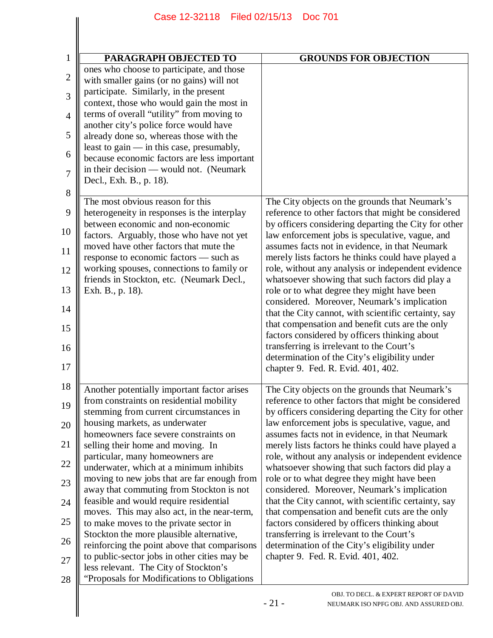| 1<br>$\overline{c}$<br>3 | PARAGRAPH OBJECTED TO<br>ones who choose to participate, and those<br>with smaller gains (or no gains) will not | <b>GROUNDS FOR OBJECTION</b>                                                                            |
|--------------------------|-----------------------------------------------------------------------------------------------------------------|---------------------------------------------------------------------------------------------------------|
|                          |                                                                                                                 |                                                                                                         |
|                          |                                                                                                                 |                                                                                                         |
|                          |                                                                                                                 |                                                                                                         |
|                          | participate. Similarly, in the present                                                                          |                                                                                                         |
|                          | context, those who would gain the most in                                                                       |                                                                                                         |
| $\overline{4}$           | terms of overall "utility" from moving to<br>another city's police force would have                             |                                                                                                         |
| 5                        | already done so, whereas those with the<br>least to gain — in this case, presumably,                            |                                                                                                         |
| 6                        | because economic factors are less important                                                                     |                                                                                                         |
| $\overline{7}$           | in their decision — would not. (Neumark<br>Decl., Exh. B., p. 18).                                              |                                                                                                         |
| 8                        | The most obvious reason for this                                                                                | The City objects on the grounds that Neumark's                                                          |
| 9                        | heterogeneity in responses is the interplay                                                                     | reference to other factors that might be considered                                                     |
| 10                       | between economic and non-economic<br>factors. Arguably, those who have not yet                                  | by officers considering departing the City for other<br>law enforcement jobs is speculative, vague, and |
| 11                       | moved have other factors that mute the<br>response to economic factors - such as                                | assumes facts not in evidence, in that Neumark<br>merely lists factors he thinks could have played a    |
| 12                       | working spouses, connections to family or                                                                       | role, without any analysis or independent evidence                                                      |
| 13                       | friends in Stockton, etc. (Neumark Decl.,<br>Exh. B., p. 18).                                                   | whatsoever showing that such factors did play a<br>role or to what degree they might have been          |
| 14                       |                                                                                                                 | considered. Moreover, Neumark's implication<br>that the City cannot, with scientific certainty, say     |
| 15                       |                                                                                                                 | that compensation and benefit cuts are the only                                                         |
| 16                       |                                                                                                                 | factors considered by officers thinking about<br>transferring is irrelevant to the Court's              |
| 17                       |                                                                                                                 | determination of the City's eligibility under<br>chapter 9. Fed. R. Evid. 401, 402                      |
| 18                       | Another potentially important factor arises                                                                     | The City objects on the grounds that Neumark's                                                          |
| 19                       | from constraints on residential mobility                                                                        | reference to other factors that might be considered                                                     |
| 20                       | stemming from current circumstances in<br>housing markets, as underwater                                        | by officers considering departing the City for other<br>law enforcement jobs is speculative, vague, and |
| 21                       | homeowners face severe constraints on<br>selling their home and moving. In                                      | assumes facts not in evidence, in that Neumark<br>merely lists factors he thinks could have played a    |
| 22                       | particular, many homeowners are                                                                                 | role, without any analysis or independent evidence                                                      |
| 23                       | underwater, which at a minimum inhibits<br>moving to new jobs that are far enough from                          | whatsoever showing that such factors did play a<br>role or to what degree they might have been          |
| 24                       | away that commuting from Stockton is not<br>feasible and would require residential                              | considered. Moreover, Neumark's implication<br>that the City cannot, with scientific certainty, say     |
|                          | moves. This may also act, in the near-term,                                                                     | that compensation and benefit cuts are the only                                                         |
| 25                       | to make moves to the private sector in<br>Stockton the more plausible alternative,                              | factors considered by officers thinking about<br>transferring is irrelevant to the Court's              |
| 26                       | reinforcing the point above that comparisons<br>to public-sector jobs in other cities may be                    | determination of the City's eligibility under<br>chapter 9. Fed. R. Evid. 401, 402.                     |
| 27                       | less relevant. The City of Stockton's                                                                           |                                                                                                         |
| 28                       | "Proposals for Modifications to Obligations                                                                     | OBJ. TO DECL. & EXPERT REPORT OF DAVID<br>$-21-$<br>NEUMARK ISO NPFG OBJ. AND ASSURED OBJ.              |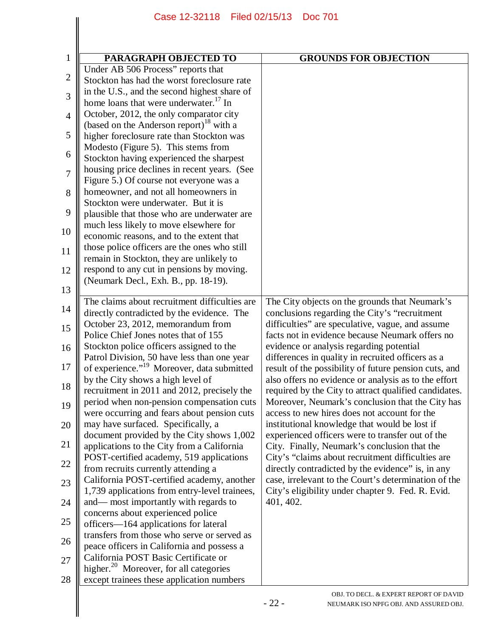| PARAGRAPH OBJECTED TO                                                              | <b>GROUNDS FOR OBJECTION</b>                                                                           |
|------------------------------------------------------------------------------------|--------------------------------------------------------------------------------------------------------|
| Under AB 506 Process" reports that                                                 |                                                                                                        |
| Stockton has had the worst foreclosure rate                                        |                                                                                                        |
| in the U.S., and the second highest share of                                       |                                                                                                        |
| home loans that were underwater. <sup>17</sup> In                                  |                                                                                                        |
| October, 2012, the only comparator city                                            |                                                                                                        |
| (based on the Anderson report) <sup>18</sup> with a                                |                                                                                                        |
| higher foreclosure rate than Stockton was                                          |                                                                                                        |
| Modesto (Figure 5). This stems from                                                |                                                                                                        |
| Stockton having experienced the sharpest                                           |                                                                                                        |
| housing price declines in recent years. (See                                       |                                                                                                        |
| Figure 5.) Of course not everyone was a                                            |                                                                                                        |
| homeowner, and not all homeowners in                                               |                                                                                                        |
| Stockton were underwater. But it is                                                |                                                                                                        |
| plausible that those who are underwater are                                        |                                                                                                        |
| much less likely to move elsewhere for<br>economic reasons, and to the extent that |                                                                                                        |
| those police officers are the ones who still                                       |                                                                                                        |
| remain in Stockton, they are unlikely to                                           |                                                                                                        |
| respond to any cut in pensions by moving.                                          |                                                                                                        |
| (Neumark Decl., Exh. B., pp. 18-19).                                               |                                                                                                        |
|                                                                                    |                                                                                                        |
| The claims about recruitment difficulties are                                      | The City objects on the grounds that Neumark's                                                         |
| directly contradicted by the evidence. The                                         | conclusions regarding the City's "recruitment                                                          |
| October 23, 2012, memorandum from                                                  | difficulties" are speculative, vague, and assume                                                       |
| Police Chief Jones notes that of 155                                               | facts not in evidence because Neumark offers no                                                        |
| Stockton police officers assigned to the                                           | evidence or analysis regarding potential                                                               |
| Patrol Division, 50 have less than one year                                        | differences in quality in recruited officers as a                                                      |
| of experience." <sup>19</sup> Moreover, data submitted                             | result of the possibility of future pension cuts, and                                                  |
| by the City shows a high level of                                                  | also offers no evidence or analysis as to the effort                                                   |
| recruitment in 2011 and 2012, precisely the                                        | required by the City to attract qualified candidates.                                                  |
| period when non-pension compensation cuts                                          | Moreover, Neumark's conclusion that the City has                                                       |
| were occurring and fears about pension cuts                                        | access to new hires does not account for the                                                           |
| may have surfaced. Specifically, a                                                 | institutional knowledge that would be lost if                                                          |
| document provided by the City shows 1,002                                          | experienced officers were to transfer out of the                                                       |
| applications to the City from a California                                         | City. Finally, Neumark's conclusion that the                                                           |
| POST-certified academy, 519 applications<br>from recruits currently attending a    | City's "claims about recruitment difficulties are<br>directly contradicted by the evidence" is, in any |
| California POST-certified academy, another                                         | case, irrelevant to the Court's determination of the                                                   |
| 1,739 applications from entry-level trainees,                                      | City's eligibility under chapter 9. Fed. R. Evid.                                                      |
| and— most importantly with regards to                                              | 401, 402.                                                                                              |
| concerns about experienced police                                                  |                                                                                                        |
| officers—164 applications for lateral                                              |                                                                                                        |
| transfers from those who serve or served as                                        |                                                                                                        |
| peace officers in California and possess a                                         |                                                                                                        |
| California POST Basic Certificate or                                               |                                                                                                        |
| higher. <sup>20</sup> Moreover, for all categories                                 |                                                                                                        |
| except trainees these application numbers                                          |                                                                                                        |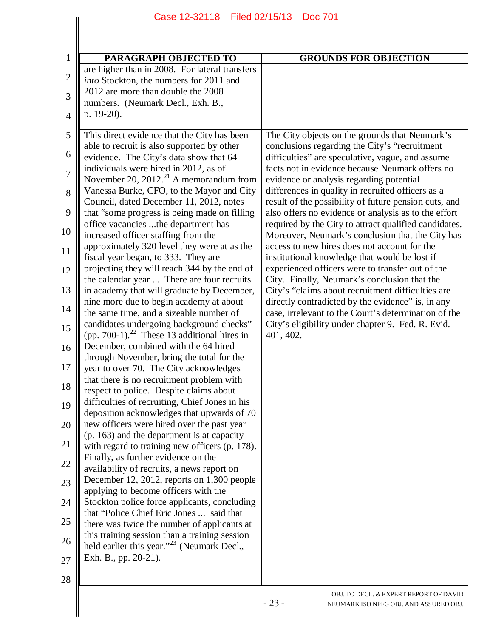| PARAGRAPH OBJECTED TO                                                                        | <b>GROUNDS FOR OBJECTION</b>                                                                                  |
|----------------------------------------------------------------------------------------------|---------------------------------------------------------------------------------------------------------------|
| are higher than in 2008. For lateral transfers                                               |                                                                                                               |
| into Stockton, the numbers for 2011 and                                                      |                                                                                                               |
| 2012 are more than double the 2008                                                           |                                                                                                               |
| numbers. (Neumark Decl., Exh. B.,                                                            |                                                                                                               |
| p. 19-20).                                                                                   |                                                                                                               |
| This direct evidence that the City has been                                                  | The City objects on the grounds that Neumark's                                                                |
| able to recruit is also supported by other                                                   | conclusions regarding the City's "recruitment                                                                 |
| evidence. The City's data show that 64                                                       | difficulties" are speculative, vague, and assume                                                              |
| individuals were hired in 2012, as of                                                        | facts not in evidence because Neumark offers no                                                               |
| November 20, $2012.21$ A memorandum from                                                     | evidence or analysis regarding potential                                                                      |
| Vanessa Burke, CFO, to the Mayor and City                                                    | differences in quality in recruited officers as a                                                             |
| Council, dated December 11, 2012, notes                                                      | result of the possibility of future pension cuts, and                                                         |
| that "some progress is being made on filling<br>office vacancies the department has          | also offers no evidence or analysis as to the effort<br>required by the City to attract qualified candidates. |
| increased officer staffing from the                                                          | Moreover, Neumark's conclusion that the City has                                                              |
| approximately 320 level they were at as the                                                  | access to new hires does not account for the                                                                  |
| fiscal year began, to 333. They are                                                          | institutional knowledge that would be lost if                                                                 |
| projecting they will reach 344 by the end of                                                 | experienced officers were to transfer out of the                                                              |
| the calendar year  There are four recruits                                                   | City. Finally, Neumark's conclusion that the                                                                  |
| in academy that will graduate by December,                                                   | City's "claims about recruitment difficulties are                                                             |
| nine more due to begin academy at about                                                      | directly contradicted by the evidence" is, in any                                                             |
| the same time, and a sizeable number of<br>candidates undergoing background checks"          | case, irrelevant to the Court's determination of the<br>City's eligibility under chapter 9. Fed. R. Evid.     |
| (pp. 700-1). <sup>22</sup> These 13 additional hires in                                      | 401, 402.                                                                                                     |
| December, combined with the 64 hired                                                         |                                                                                                               |
| through November, bring the total for the                                                    |                                                                                                               |
| year to over 70. The City acknowledges                                                       |                                                                                                               |
| that there is no recruitment problem with                                                    |                                                                                                               |
| respect to police. Despite claims about                                                      |                                                                                                               |
| difficulties of recruiting, Chief Jones in his                                               |                                                                                                               |
| deposition acknowledges that upwards of 70<br>new officers were hired over the past year     |                                                                                                               |
| (p. 163) and the department is at capacity                                                   |                                                                                                               |
| with regard to training new officers (p. 178).                                               |                                                                                                               |
| Finally, as further evidence on the                                                          |                                                                                                               |
| availability of recruits, a news report on                                                   |                                                                                                               |
| December 12, 2012, reports on 1,300 people                                                   |                                                                                                               |
| applying to become officers with the                                                         |                                                                                                               |
| Stockton police force applicants, concluding                                                 |                                                                                                               |
| that "Police Chief Eric Jones  said that                                                     |                                                                                                               |
| there was twice the number of applicants at<br>this training session than a training session |                                                                                                               |
| held earlier this year." <sup>23</sup> (Neumark Decl.,                                       |                                                                                                               |
| Exh. B., pp. 20-21).                                                                         |                                                                                                               |
|                                                                                              |                                                                                                               |
|                                                                                              |                                                                                                               |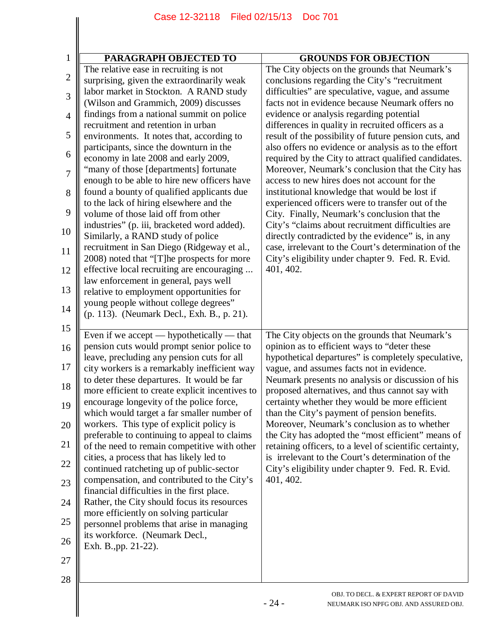|                | Case 12-32118 Filed 02/15/13<br><b>Doc 701</b>                                             |                                                                                                               |  |
|----------------|--------------------------------------------------------------------------------------------|---------------------------------------------------------------------------------------------------------------|--|
|                |                                                                                            |                                                                                                               |  |
|                |                                                                                            |                                                                                                               |  |
| 1              | PARAGRAPH OBJECTED TO                                                                      | <b>GROUNDS FOR OBJECTION</b>                                                                                  |  |
| $\mathbf{2}$   | The relative ease in recruiting is not<br>surprising, given the extraordinarily weak       | The City objects on the grounds that Neumark's<br>conclusions regarding the City's "recruitment               |  |
|                | labor market in Stockton. A RAND study                                                     | difficulties" are speculative, vague, and assume                                                              |  |
| 3              | (Wilson and Grammich, 2009) discusses                                                      | facts not in evidence because Neumark offers no                                                               |  |
| $\overline{4}$ | findings from a national summit on police                                                  | evidence or analysis regarding potential                                                                      |  |
| 5              | recruitment and retention in urban                                                         | differences in quality in recruited officers as a                                                             |  |
|                | environments. It notes that, according to<br>participants, since the downturn in the       | result of the possibility of future pension cuts, and<br>also offers no evidence or analysis as to the effort |  |
| 6              | economy in late 2008 and early 2009,                                                       | required by the City to attract qualified candidates.                                                         |  |
| $\overline{7}$ | 'many of those [departments] fortunate                                                     | Moreover, Neumark's conclusion that the City has                                                              |  |
|                | enough to be able to hire new officers have                                                | access to new hires does not account for the                                                                  |  |
| 8              | found a bounty of qualified applicants due                                                 | institutional knowledge that would be lost if                                                                 |  |
| 9              | to the lack of hiring elsewhere and the<br>volume of those laid off from other             | experienced officers were to transfer out of the<br>City. Finally, Neumark's conclusion that the              |  |
|                | industries" (p. iii, bracketed word added).                                                | City's "claims about recruitment difficulties are                                                             |  |
| 10             | Similarly, a RAND study of police                                                          | directly contradicted by the evidence" is, in any                                                             |  |
| 11             | recruitment in San Diego (Ridgeway et al.,                                                 | case, irrelevant to the Court's determination of the                                                          |  |
| 12             | 2008) noted that "[T] he prospects for more<br>effective local recruiting are encouraging  | City's eligibility under chapter 9. Fed. R. Evid.<br>401, 402.                                                |  |
|                | law enforcement in general, pays well                                                      |                                                                                                               |  |
| 13             | relative to employment opportunities for                                                   |                                                                                                               |  |
| 14             | young people without college degrees"                                                      |                                                                                                               |  |
|                | (p. 113). (Neumark Decl., Exh. B., p. 21).                                                 |                                                                                                               |  |
| 15             | Even if we accept — hypothetically — that                                                  | The City objects on the grounds that Neumark's                                                                |  |
| 16             | pension cuts would prompt senior police to                                                 | opinion as to efficient ways to "deter these                                                                  |  |
| 17             | leave, precluding any pension cuts for all                                                 | hypothetical departures" is completely speculative,<br>vague, and assumes facts not in evidence               |  |
|                | city workers is a remarkably inefficient way<br>to deter these departures. It would be far | Neumark presents no analysis or discussion of his                                                             |  |
| 18             | more efficient to create explicit incentives to                                            | proposed alternatives, and thus cannot say with                                                               |  |
| 19             | encourage longevity of the police force,                                                   | certainty whether they would be more efficient                                                                |  |
|                | which would target a far smaller number of                                                 | than the City's payment of pension benefits.                                                                  |  |
| 20             | workers. This type of explicit policy is<br>preferable to continuing to appeal to claims   | Moreover, Neumark's conclusion as to whether<br>the City has adopted the "most efficient" means of            |  |
| 21             | of the need to remain competitive with other                                               | retaining officers, to a level of scientific certainty,                                                       |  |
| 22             | cities, a process that has likely led to                                                   | is irrelevant to the Court's determination of the                                                             |  |
|                | continued ratcheting up of public-sector                                                   | City's eligibility under chapter 9. Fed. R. Evid.                                                             |  |
| 23             | compensation, and contributed to the City's<br>financial difficulties in the first place.  | 401, 402.                                                                                                     |  |
| 24             | Rather, the City should focus its resources                                                |                                                                                                               |  |
|                | more efficiently on solving particular                                                     |                                                                                                               |  |
| 25             | personnel problems that arise in managing                                                  |                                                                                                               |  |
| 26             | its workforce. (Neumark Decl.,<br>Exh. B., pp. 21-22).                                     |                                                                                                               |  |
| 27             |                                                                                            |                                                                                                               |  |
|                |                                                                                            |                                                                                                               |  |
| 28             |                                                                                            |                                                                                                               |  |
|                |                                                                                            | OBJ. TO DECL. & EXPERT REPORT OF DAVID<br>$-24-$<br>NEUMARK ISO NPFG OBJ. AND ASSURED OBJ.                    |  |
|                |                                                                                            |                                                                                                               |  |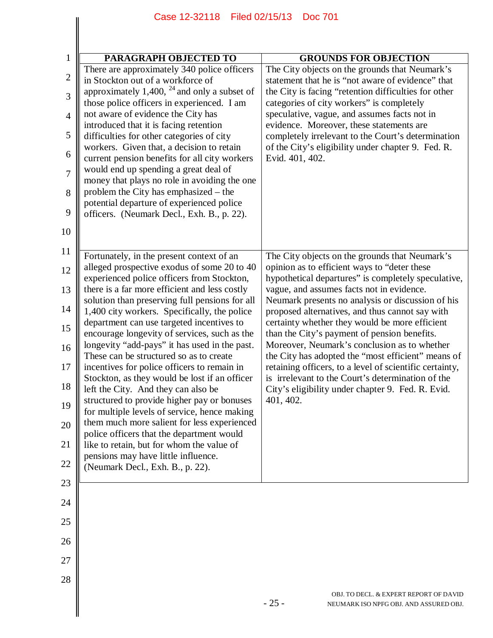| PARAGRAPH OBJECTED TO                                                                                                                                                                                                                                                                                                                                                                                                                                                                                                                                                                                                                                                                                                                                                                                                                                                                                                                        | <b>GROUNDS FOR OBJECTION</b>                                                                                                                                                                                                                                                                                                                                                                                                                                                                                                                                                                                                                                                                         |
|----------------------------------------------------------------------------------------------------------------------------------------------------------------------------------------------------------------------------------------------------------------------------------------------------------------------------------------------------------------------------------------------------------------------------------------------------------------------------------------------------------------------------------------------------------------------------------------------------------------------------------------------------------------------------------------------------------------------------------------------------------------------------------------------------------------------------------------------------------------------------------------------------------------------------------------------|------------------------------------------------------------------------------------------------------------------------------------------------------------------------------------------------------------------------------------------------------------------------------------------------------------------------------------------------------------------------------------------------------------------------------------------------------------------------------------------------------------------------------------------------------------------------------------------------------------------------------------------------------------------------------------------------------|
| There are approximately 340 police officers<br>in Stockton out of a workforce of<br>approximately 1,400, $^{24}$ and only a subset of<br>those police officers in experienced. I am<br>not aware of evidence the City has<br>introduced that it is facing retention<br>difficulties for other categories of city<br>workers. Given that, a decision to retain<br>current pension benefits for all city workers<br>would end up spending a great deal of<br>money that plays no role in avoiding the one<br>problem the City has emphasized – the<br>potential departure of experienced police<br>officers. (Neumark Decl., Exh. B., p. 22).                                                                                                                                                                                                                                                                                                  | The City objects on the grounds that Neumark's<br>statement that he is "not aware of evidence" that<br>the City is facing "retention difficulties for other<br>categories of city workers" is completely<br>speculative, vague, and assumes facts not in<br>evidence. Moreover, these statements are<br>completely irrelevant to the Court's determination<br>of the City's eligibility under chapter 9. Fed. R.<br>Evid. 401, 402.                                                                                                                                                                                                                                                                  |
| Fortunately, in the present context of an<br>alleged prospective exodus of some 20 to 40<br>experienced police officers from Stockton,<br>there is a far more efficient and less costly<br>solution than preserving full pensions for all<br>1,400 city workers. Specifically, the police<br>department can use targeted incentives to<br>encourage longevity of services, such as the<br>longevity "add-pays" it has used in the past.<br>These can be structured so as to create<br>incentives for police officers to remain in<br>Stockton, as they would be lost if an officer<br>left the City. And they can also be<br>structured to provide higher pay or bonuses<br>for multiple levels of service, hence making<br>them much more salient for less experienced<br>police officers that the department would<br>like to retain, but for whom the value of<br>pensions may have little influence.<br>(Neumark Decl., Exh. B., p. 22). | The City objects on the grounds that Neumark's<br>opinion as to efficient ways to "deter these<br>hypothetical departures" is completely speculative,<br>vague, and assumes facts not in evidence.<br>Neumark presents no analysis or discussion of his<br>proposed alternatives, and thus cannot say with<br>certainty whether they would be more efficient<br>than the City's payment of pension benefits.<br>Moreover, Neumark's conclusion as to whether<br>the City has adopted the "most efficient" means of<br>retaining officers, to a level of scientific certainty,<br>is irrelevant to the Court's determination of the<br>City's eligibility under chapter 9. Fed. R. Evid.<br>401, 402. |
|                                                                                                                                                                                                                                                                                                                                                                                                                                                                                                                                                                                                                                                                                                                                                                                                                                                                                                                                              | OBJ. TO DECL. & EXPERT REPORT OF DAVID                                                                                                                                                                                                                                                                                                                                                                                                                                                                                                                                                                                                                                                               |